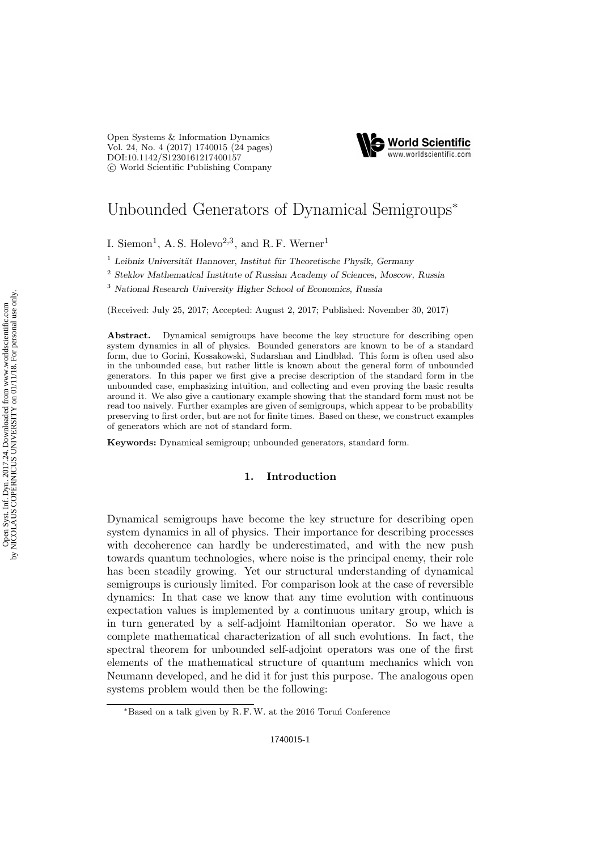Open Systems & Information Dynamics Vol. 24, No. 4 (2017) 1740015 (24 pages) [DOI:10.1142/S1230161217400157](http://dx.doi.org/10.1142/S1230161217400157) c World Scientific Publishing Company



# Unbounded Generators of Dynamical Semigroups<sup>∗</sup>

I. Siemon<sup>1</sup>, A.S. Holevo<sup>2,3</sup>, and R.F. Werner<sup>1</sup>

<sup>1</sup> Leibniz Universität Hannover, Institut für Theoretische Physik, Germany

<sup>2</sup> *Steklov Mathematical Institute of Russian Academy of Sciences, Moscow, Russia*

<sup>3</sup> *National Research University Higher School of Economics, Russia*

(Received: July 25, 2017; Accepted: August 2, 2017; Published: November 30, 2017)

Abstract. Dynamical semigroups have become the key structure for describing open system dynamics in all of physics. Bounded generators are known to be of a standard form, due to Gorini, Kossakowski, Sudarshan and Lindblad. This form is often used also in the unbounded case, but rather little is known about the general form of unbounded generators. In this paper we first give a precise description of the standard form in the unbounded case, emphasizing intuition, and collecting and even proving the basic results around it. We also give a cautionary example showing that the standard form must not be read too naively. Further examples are given of semigroups, which appear to be probability preserving to first order, but are not for finite times. Based on these, we construct examples of generators which are not of standard form.

Keywords: Dynamical semigroup; unbounded generators, standard form.

## 1. Introduction

Dynamical semigroups have become the key structure for describing open system dynamics in all of physics. Their importance for describing processes with decoherence can hardly be underestimated, and with the new push towards quantum technologies, where noise is the principal enemy, their role has been steadily growing. Yet our structural understanding of dynamical semigroups is curiously limited. For comparison look at the case of reversible dynamics: In that case we know that any time evolution with continuous expectation values is implemented by a continuous unitary group, which is in turn generated by a self-adjoint Hamiltonian operator. So we have a complete mathematical characterization of all such evolutions. In fact, the spectral theorem for unbounded self-adjoint operators was one of the first elements of the mathematical structure of quantum mechanics which von Neumann developed, and he did it for just this purpose. The analogous open systems problem would then be the following:

<sup>\*</sup>Based on a talk given by R.F.W. at the 2016 Torun Conference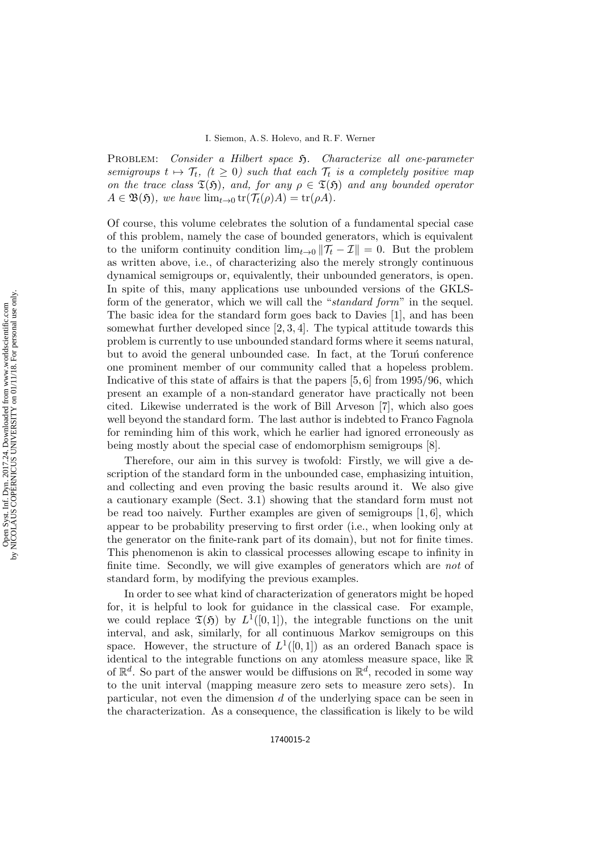PROBLEM: Consider a Hilbert space  $\mathfrak{H}$ . Characterize all one-parameter semigroups  $t \mapsto \mathcal{T}_t$ ,  $(t \geq 0)$  such that each  $\mathcal{T}_t$  is a completely positive map on the trace class  $\mathfrak{T}(\mathfrak{H})$ , and, for any  $\rho \in \mathfrak{T}(\mathfrak{H})$  and any bounded operator  $A \in \mathfrak{B}(\mathfrak{H})$ , we have  $\lim_{t \to 0} \text{tr}(\mathcal{T}_t(\rho)A) = \text{tr}(\rho A)$ .

Of course, this volume celebrates the solution of a fundamental special case of this problem, namely the case of bounded generators, which is equivalent to the uniform continuity condition  $\lim_{t\to 0} ||\mathcal{T}_t - \mathcal{I}|| = 0$ . But the problem as written above, i.e., of characterizing also the merely strongly continuous dynamical semigroups or, equivalently, their unbounded generators, is open. In spite of this, many applications use unbounded versions of the GKLSform of the generator, which we will call the "standard form" in the sequel. The basic idea for the standard form goes back to Davies [1], and has been somewhat further developed since [2, 3, 4]. The typical attitude towards this problem is currently to use unbounded standard forms where it seems natural, but to avoid the general unbounded case. In fact, at the Torun conference one prominent member of our community called that a hopeless problem. Indicative of this state of affairs is that the papers [5, 6] from 1995/96, which present an example of a non-standard generator have practically not been cited. Likewise underrated is the work of Bill Arveson [7], which also goes well beyond the standard form. The last author is indebted to Franco Fagnola for reminding him of this work, which he earlier had ignored erroneously as being mostly about the special case of endomorphism semigroups [8].

Therefore, our aim in this survey is twofold: Firstly, we will give a description of the standard form in the unbounded case, emphasizing intuition, and collecting and even proving the basic results around it. We also give a cautionary example (Sect. 3.1) showing that the standard form must not be read too naively. Further examples are given of semigroups [1, 6], which appear to be probability preserving to first order (i.e., when looking only at the generator on the finite-rank part of its domain), but not for finite times. This phenomenon is akin to classical processes allowing escape to infinity in finite time. Secondly, we will give examples of generators which are not of standard form, by modifying the previous examples.

In order to see what kind of characterization of generators might be hoped for, it is helpful to look for guidance in the classical case. For example, we could replace  $\mathfrak{T}(\mathfrak{H})$  by  $L^1([0,1])$ , the integrable functions on the unit interval, and ask, similarly, for all continuous Markov semigroups on this space. However, the structure of  $L^1([0,1])$  as an ordered Banach space is identical to the integrable functions on any atomless measure space, like R of  $\mathbb{R}^d$ . So part of the answer would be diffusions on  $\mathbb{R}^d$ , recoded in some way to the unit interval (mapping measure zero sets to measure zero sets). In particular, not even the dimension d of the underlying space can be seen in the characterization. As a consequence, the classification is likely to be wild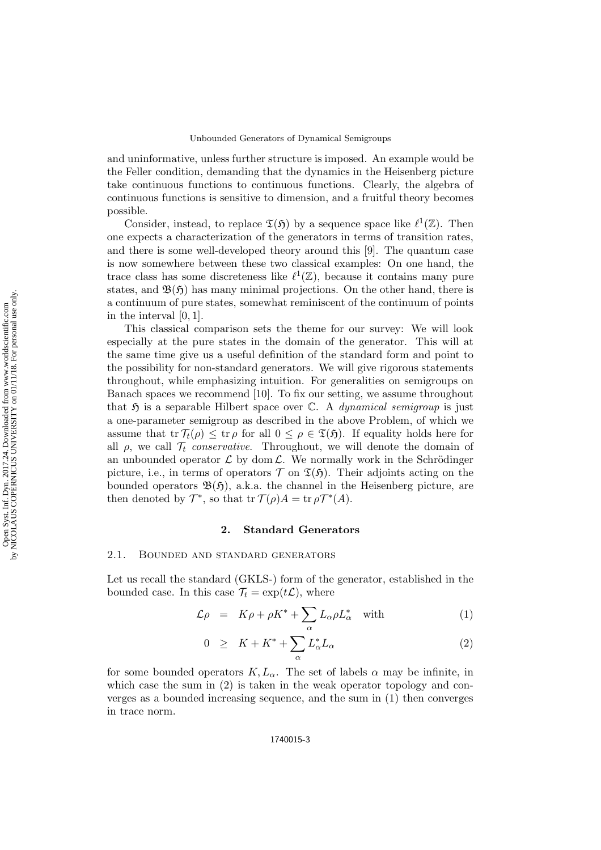and uninformative, unless further structure is imposed. An example would be the Feller condition, demanding that the dynamics in the Heisenberg picture take continuous functions to continuous functions. Clearly, the algebra of continuous functions is sensitive to dimension, and a fruitful theory becomes possible.

Consider, instead, to replace  $\mathfrak{T}(\mathfrak{H})$  by a sequence space like  $\ell^1(\mathbb{Z})$ . Then one expects a characterization of the generators in terms of transition rates, and there is some well-developed theory around this [9]. The quantum case is now somewhere between these two classical examples: On one hand, the trace class has some discreteness like  $\ell^1(\mathbb{Z})$ , because it contains many pure states, and  $\mathfrak{B}(\mathfrak{H})$  has many minimal projections. On the other hand, there is a continuum of pure states, somewhat reminiscent of the continuum of points in the interval [0, 1].

This classical comparison sets the theme for our survey: We will look especially at the pure states in the domain of the generator. This will at the same time give us a useful definition of the standard form and point to the possibility for non-standard generators. We will give rigorous statements throughout, while emphasizing intuition. For generalities on semigroups on Banach spaces we recommend [10]. To fix our setting, we assume throughout that  $\mathfrak H$  is a separable Hilbert space over  $\mathbb C$ . A *dynamical semigroup* is just a one-parameter semigroup as described in the above Problem, of which we assume that tr  $\mathcal{T}_t(\rho) \leq \text{tr }\rho$  for all  $0 \leq \rho \in \mathfrak{T}(\mathfrak{H})$ . If equality holds here for all  $\rho$ , we call  $\mathcal{T}_t$  conservative. Throughout, we will denote the domain of an unbounded operator  $\mathcal L$  by dom  $\mathcal L$ . We normally work in the Schrödinger picture, i.e., in terms of operators  $\mathcal T$  on  $\mathfrak T(\mathfrak H)$ . Their adjoints acting on the bounded operators  $\mathfrak{B}(\mathfrak{H})$ , a.k.a. the channel in the Heisenberg picture, are then denoted by  $\mathcal{T}^*$ , so that  $\operatorname{tr} \mathcal{T}(\rho)A = \operatorname{tr} \rho \mathcal{T}^*(A)$ .

## 2. Standard Generators

#### 2.1. Bounded and standard generators

Let us recall the standard (GKLS-) form of the generator, established in the bounded case. In this case  $\mathcal{T}_t = \exp(t\mathcal{L})$ , where

$$
\mathcal{L}\rho = K\rho + \rho K^* + \sum_{\alpha} L_{\alpha} \rho L_{\alpha}^* \quad \text{with} \tag{1}
$$

$$
0 \geq K + K^* + \sum_{\alpha} L_{\alpha}^* L_{\alpha} \tag{2}
$$

for some bounded operators  $K, L_{\alpha}$ . The set of labels  $\alpha$  may be infinite, in which case the sum in  $(2)$  is taken in the weak operator topology and converges as a bounded increasing sequence, and the sum in (1) then converges in trace norm.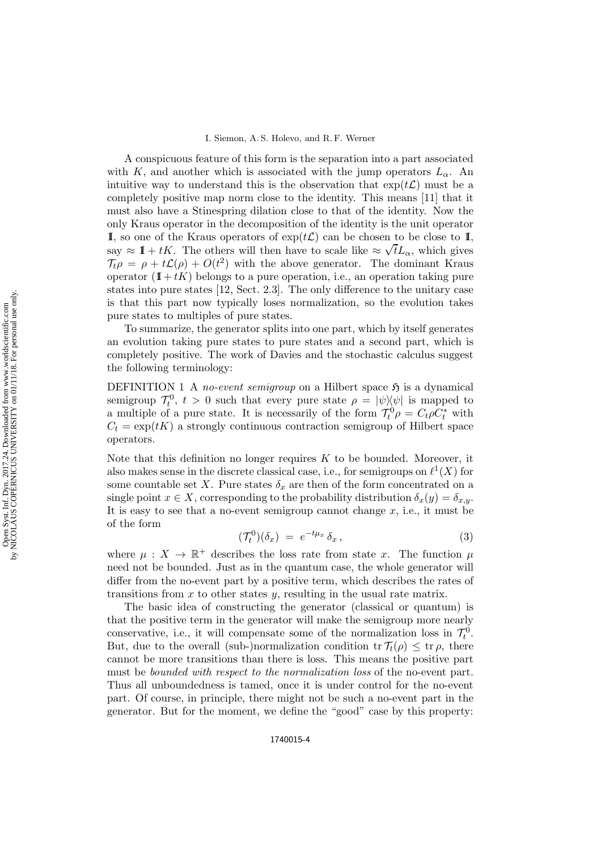A conspicuous feature of this form is the separation into a part associated with K, and another which is associated with the jump operators  $L_{\alpha}$ . An intuitive way to understand this is the observation that  $\exp(t\mathcal{L})$  must be a completely positive map norm close to the identity. This means [11] that it must also have a Stinespring dilation close to that of the identity. Now the only Kraus operator in the decomposition of the identity is the unit operator **1**, so one of the Kraus operators of  $exp(t\mathcal{L})$  can be chosen to be close to **1**, say  $\approx 1 + tK$ . The others will then have to scale like  $\approx \sqrt{t}L_{\alpha}$ , which gives  $\mathcal{T}_{t}\rho = \rho + t\mathcal{L}(\rho) + O(t^2)$  with the above generator. The dominant Kraus operator  $(1 + tK)$  belongs to a pure operation, i.e., an operation taking pure states into pure states [12, Sect. 2.3]. The only difference to the unitary case is that this part now typically loses normalization, so the evolution takes pure states to multiples of pure states.

To summarize, the generator splits into one part, which by itself generates an evolution taking pure states to pure states and a second part, which is completely positive. The work of Davies and the stochastic calculus suggest the following terminology:

DEFINITION 1 A no-event semigroup on a Hilbert space  $\mathfrak{H}$  is a dynamical semigroup  $\mathcal{T}_t^0$ ,  $t > 0$  such that every pure state  $\rho = |\psi\rangle\!\langle \psi|$  is mapped to a multiple of a pure state. It is necessarily of the form  $\mathcal{T}_t^0 \rho = C_t \rho C_t^*$  with  $C_t = \exp(tK)$  a strongly continuous contraction semigroup of Hilbert space operators.

Note that this definition no longer requires  $K$  to be bounded. Moreover, it also makes sense in the discrete classical case, i.e., for semigroups on  $\ell^1(X)$  for some countable set X. Pure states  $\delta_x$  are then of the form concentrated on a single point  $x \in X$ , corresponding to the probability distribution  $\delta_x(y) = \delta_{x,y}$ . It is easy to see that a no-event semigroup cannot change  $x$ , i.e., it must be of the form

$$
(\mathcal{T}_t^0)(\delta_x) = e^{-t\mu_x} \delta_x, \qquad (3)
$$

where  $\mu : X \to \mathbb{R}^+$  describes the loss rate from state x. The function  $\mu$ need not be bounded. Just as in the quantum case, the whole generator will differ from the no-event part by a positive term, which describes the rates of transitions from  $x$  to other states  $y$ , resulting in the usual rate matrix.

The basic idea of constructing the generator (classical or quantum) is that the positive term in the generator will make the semigroup more nearly conservative, i.e., it will compensate some of the normalization loss in  $\mathcal{T}_t^0$ . But, due to the overall (sub-)normalization condition tr  $\mathcal{T}_t(\rho) \leq \text{tr } \rho$ , there cannot be more transitions than there is loss. This means the positive part must be bounded with respect to the normalization loss of the no-event part. Thus all unboundedness is tamed, once it is under control for the no-event part. Of course, in principle, there might not be such a no-event part in the generator. But for the moment, we define the "good" case by this property: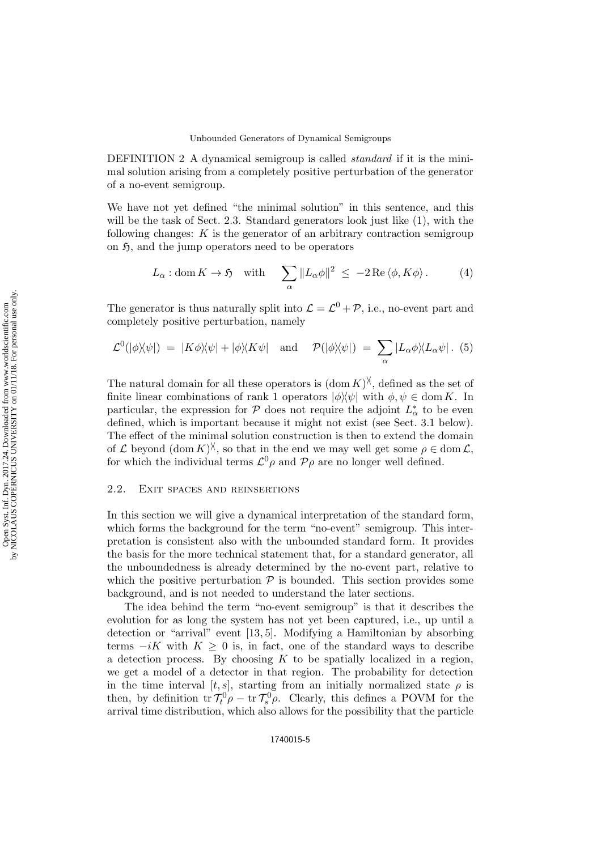DEFINITION 2 A dynamical semigroup is called standard if it is the minimal solution arising from a completely positive perturbation of the generator of a no-event semigroup.

We have not yet defined "the minimal solution" in this sentence, and this will be the task of Sect. 2.3. Standard generators look just like  $(1)$ , with the following changes:  $K$  is the generator of an arbitrary contraction semigroup on  $\mathfrak{H}$ , and the jump operators need to be operators

$$
L_{\alpha}: \text{dom } K \to \mathfrak{H} \quad \text{with} \quad \sum_{\alpha} \|L_{\alpha}\phi\|^{2} \leq -2 \operatorname{Re} \langle \phi, K\phi \rangle. \tag{4}
$$

The generator is thus naturally split into  $\mathcal{L} = \mathcal{L}^0 + \mathcal{P}$ , i.e., no-event part and completely positive perturbation, namely

$$
\mathcal{L}^{0}(|\phi\rangle\langle\psi|) = |K\phi\rangle\langle\psi| + |\phi\rangle\langle K\psi| \quad \text{and} \quad \mathcal{P}(|\phi\rangle\langle\psi|) = \sum_{\alpha} |L_{\alpha}\phi\rangle\langle L_{\alpha}\psi|.
$$
 (5)

The natural domain for all these operators is  $(\text{dom } K)$ <sup> $\land$ </sup>, defined as the set of finite linear combinations of rank 1 operators  $|\phi\rangle\langle\psi|$  with  $\phi, \psi \in \text{dom } K$ . In particular, the expression for  $P$  does not require the adjoint  $L^*_{\alpha}$  to be even defined, which is important because it might not exist (see Sect. 3.1 below). The effect of the minimal solution construction is then to extend the domain of  $\mathcal L$  beyond  $(\text{dom } K)^{\vee}$ , so that in the end we may well get some  $\rho \in \text{dom } \mathcal L$ , for which the individual terms  $\mathcal{L}^0 \rho$  and  $\mathcal{P}\rho$  are no longer well defined.

## 2.2. EXIT SPACES AND REINSERTIONS

In this section we will give a dynamical interpretation of the standard form, which forms the background for the term "no-event" semigroup. This interpretation is consistent also with the unbounded standard form. It provides the basis for the more technical statement that, for a standard generator, all the unboundedness is already determined by the no-event part, relative to which the positive perturbation  $P$  is bounded. This section provides some background, and is not needed to understand the later sections.

The idea behind the term "no-event semigroup" is that it describes the evolution for as long the system has not yet been captured, i.e., up until a detection or "arrival" event [13, 5]. Modifying a Hamiltonian by absorbing terms  $-iK$  with  $K \geq 0$  is, in fact, one of the standard ways to describe a detection process. By choosing  $K$  to be spatially localized in a region, we get a model of a detector in that region. The probability for detection in the time interval [t, s], starting from an initially normalized state  $\rho$  is then, by definition  $tr T_t^0 \rho - tr T_s^0 \rho$ . Clearly, this defines a POVM for the arrival time distribution, which also allows for the possibility that the particle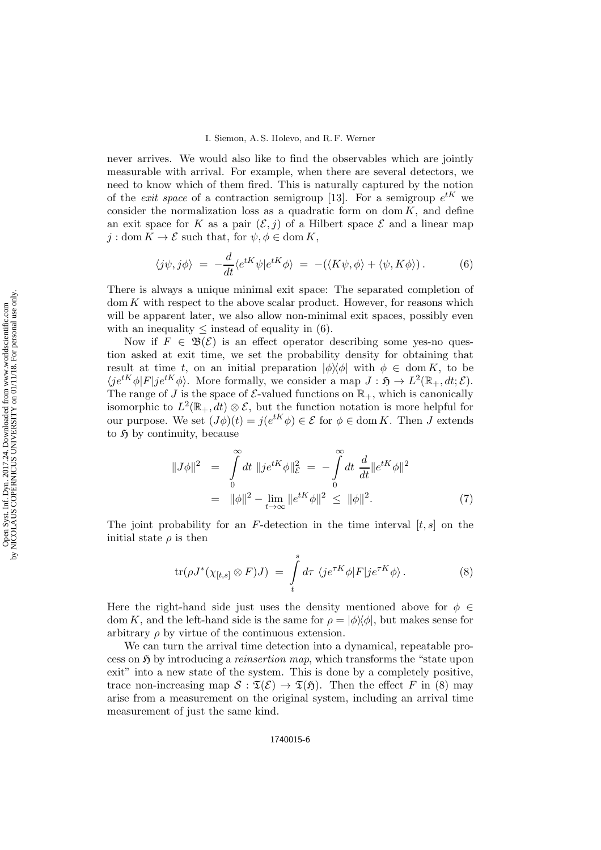never arrives. We would also like to find the observables which are jointly measurable with arrival. For example, when there are several detectors, we need to know which of them fired. This is naturally captured by the notion of the *exit space* of a contraction semigroup [13]. For a semigroup  $e^{tK}$  we consider the normalization loss as a quadratic form on dom  $K$ , and define an exit space for K as a pair  $(\mathcal{E},j)$  of a Hilbert space  $\mathcal E$  and a linear map  $j : \text{dom } K \to \mathcal{E}$  such that, for  $\psi, \phi \in \text{dom } K$ ,

$$
\langle j\psi, j\phi \rangle = -\frac{d}{dt} \langle e^{tK} \psi | e^{tK} \phi \rangle = -(\langle K\psi, \phi \rangle + \langle \psi, K\phi \rangle). \tag{6}
$$

There is always a unique minimal exit space: The separated completion of  $dom K$  with respect to the above scalar product. However, for reasons which will be apparent later, we also allow non-minimal exit spaces, possibly even with an inequality  $\leq$  instead of equality in (6).

Now if  $F \in \mathfrak{B}(\mathcal{E})$  is an effect operator describing some yes-no question asked at exit time, we set the probability density for obtaining that result at time t, on an initial preparation  $|\phi\rangle\langle\phi|$  with  $\phi \in \text{dom } K$ , to be  $\langle je^{tK}\phi|F|je^{tK}\phi\rangle$ . More formally, we consider a map  $J : \mathfrak{H} \to L^2(\mathbb{R}_+, dt; \mathcal{E})$ . The range of J is the space of  $\mathcal E$ -valued functions on  $\mathbb R_+$ , which is canonically isomorphic to  $L^2(\mathbb{R}_+, dt) \otimes \mathcal{E}$ , but the function notation is more helpful for our purpose. We set  $(J\phi)(t) = j(e^{tK}\phi) \in \mathcal{E}$  for  $\phi \in \text{dom } K$ . Then J extends to  $\mathfrak H$  by continuity, because

$$
||J\phi||^{2} = \int_{0}^{\infty} dt \, ||je^{tK}\phi||_{\mathcal{E}}^{2} = -\int_{0}^{\infty} dt \, \frac{d}{dt} ||e^{tK}\phi||^{2}
$$
  
=  $||\phi||^{2} - \lim_{t \to \infty} ||e^{tK}\phi||^{2} \le ||\phi||^{2}.$  (7)

The joint probability for an  $F$ -detection in the time interval  $[t, s]$  on the initial state  $\rho$  is then

$$
\text{tr}(\rho J^*(\chi_{[t,s]}\otimes F)J) = \int\limits_t^s d\tau \ \langle je^{\tau K}\phi|F|je^{\tau K}\phi\rangle. \tag{8}
$$

Here the right-hand side just uses the density mentioned above for  $\phi \in$ dom K, and the left-hand side is the same for  $\rho = |\phi\rangle\langle\phi|$ , but makes sense for arbitrary  $\rho$  by virtue of the continuous extension.

We can turn the arrival time detection into a dynamical, repeatable process on  $\mathfrak H$  by introducing a *reinsertion map*, which transforms the "state upon exit" into a new state of the system. This is done by a completely positive, trace non-increasing map  $S : \mathfrak{T}(\mathcal{E}) \to \mathfrak{T}(\mathfrak{H})$ . Then the effect F in (8) may arise from a measurement on the original system, including an arrival time measurement of just the same kind.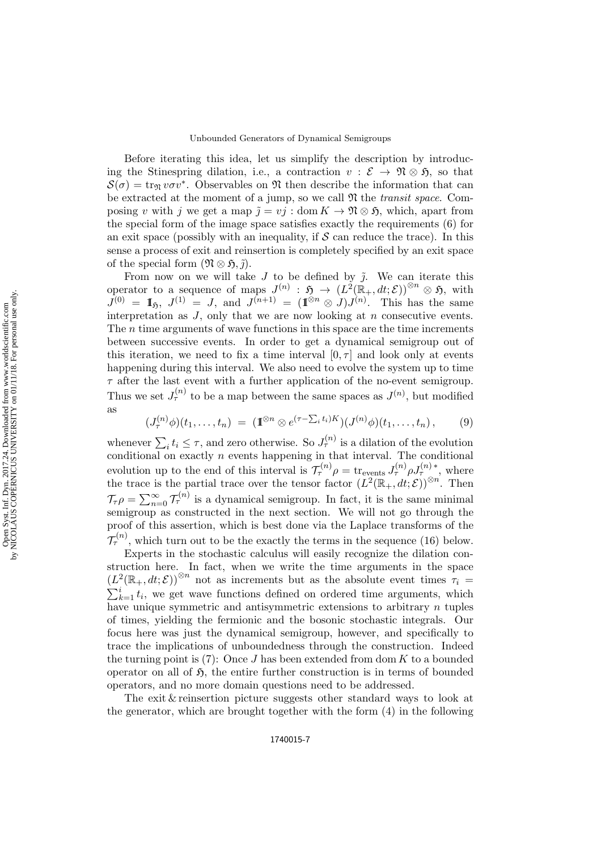Before iterating this idea, let us simplify the description by introducing the Stinespring dilation, i.e., a contraction  $v : \mathcal{E} \to \mathfrak{N} \otimes \mathfrak{H}$ , so that  $\mathcal{S}(\sigma) = \text{tr}_{\mathfrak{N}} v \sigma v^*$ . Observables on  $\mathfrak{N}$  then describe the information that can be extracted at the moment of a jump, so we call  $\mathfrak{N}$  the *transit space*. Composing v with j we get a map  $\tilde{j} = vj$ : dom  $K \to \mathfrak{N} \otimes \mathfrak{H}$ , which, apart from the special form of the image space satisfies exactly the requirements (6) for an exit space (possibly with an inequality, if  $S$  can reduce the trace). In this sense a process of exit and reinsertion is completely specified by an exit space of the special form  $(\mathfrak{N} \otimes \mathfrak{H}, \tilde{\eta})$ .

From now on we will take  $J$  to be defined by  $\tilde{j}$ . We can iterate this operator to a sequence of maps  $J^{(n)} : \mathfrak{H} \to (L^2(\mathbb{R}_+, dt; \mathcal{E}))^{\otimes n} \otimes \mathfrak{H}$ , with  $J^{(0)} = \mathbb{I}_{5}$ ,  $J^{(1)} = J$ , and  $J^{(n+1)} = (\mathbb{I}^{\otimes n} \otimes J)J^{(n)}$ . This has the same interpretation as  $J$ , only that we are now looking at  $n$  consecutive events. The *n* time arguments of wave functions in this space are the time increments between successive events. In order to get a dynamical semigroup out of this iteration, we need to fix a time interval  $[0, \tau]$  and look only at events happening during this interval. We also need to evolve the system up to time  $\tau$  after the last event with a further application of the no-event semigroup. Thus we set  $J_{\tau}^{(n)}$  to be a map between the same spaces as  $J^{(n)}$ , but modified as

$$
(J_{\tau}^{(n)}\phi)(t_1,\ldots,t_n) = (\mathbb{1}^{\otimes n} \otimes e^{(\tau-\sum_i t_i)K})(J^{(n)}\phi)(t_1,\ldots,t_n), \qquad (9)
$$

whenever  $\sum_i t_i \leq \tau$ , and zero otherwise. So  $J_{\tau}^{(n)}$  is a dilation of the evolution whenever  $\sum_i i_i \leq i$ , and zero otherwise. So  $J_{\tau}$  is a dilation of the evolutional conditional on exactly *n* events happening in that interval. The conditional evolution up to the end of this interval is  $\mathcal{T}_{\tau}^{(n)} \rho = \text{tr}_{\text{events}} J_{\tau}^{(n)} \rho J_{\tau}^{(n) *}$ , where the trace is the partial trace over the tensor factor  $(L^2(\mathbb{R}_+, dt; \mathcal{E}))^{\otimes n}$ . Then  $\mathcal{T}_{\tau}\rho=\sum_{n=0}^{\infty}\mathcal{T}_{\tau}^{(n)}$  is a dynamical semigroup. In fact, it is the same minimal semigroup as constructed in the next section. We will not go through the proof of this assertion, which is best done via the Laplace transforms of the  $\mathcal{T}_{\tau}^{(n)}$ , which turn out to be the exactly the terms in the sequence (16) below.

Experts in the stochastic calculus will easily recognize the dilation construction here. In fact, when we write the time arguments in the space  $(L^2(\mathbb{R}_+, dt; \mathcal{E}))^{\otimes n}$  not as increments but as the absolute event times  $\tau_i = \sum_{k=1}^i t_i$ , we get wave functions defined on ordered time arguments, which  $_{k=1}^{i}$   $t_i$ , we get wave functions defined on ordered time arguments, which have unique symmetric and antisymmetric extensions to arbitrary  $n$  tuples of times, yielding the fermionic and the bosonic stochastic integrals. Our focus here was just the dynamical semigroup, however, and specifically to trace the implications of unboundedness through the construction. Indeed the turning point is  $(7)$ : Once J has been extended from dom K to a bounded operator on all of  $\mathfrak{H}$ , the entire further construction is in terms of bounded operators, and no more domain questions need to be addressed.

The exit & reinsertion picture suggests other standard ways to look at the generator, which are brought together with the form (4) in the following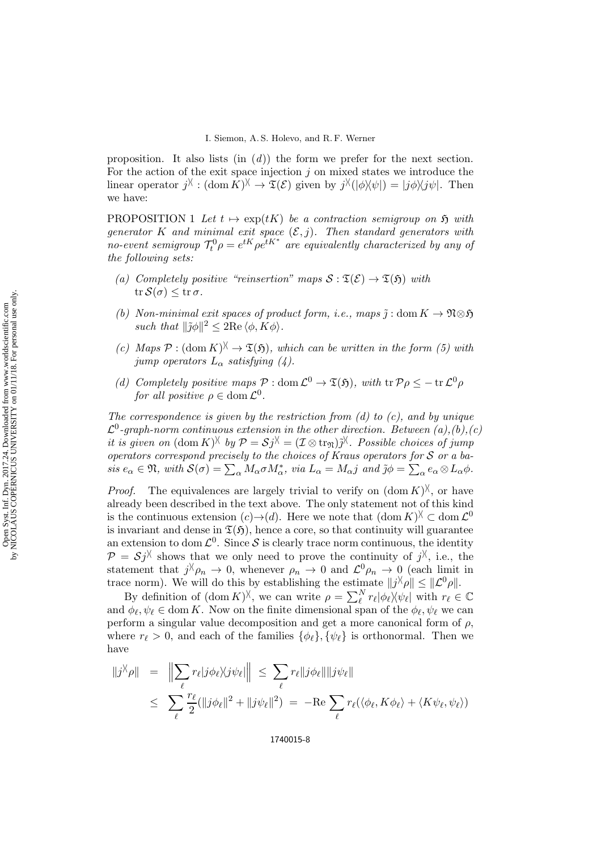proposition. It also lists (in  $(d)$ ) the form we prefer for the next section. For the action of the exit space injection  $j$  on mixed states we introduce the linear operator  $j^{\chi} : (\text{dom } K)^{\chi} \to \mathfrak{T}(\mathcal{E})$  given by  $j^{\chi}(|\phi\rangle\langle\psi|) = |j\phi\rangle\langle j\psi|$ . Then we have:

PROPOSITION 1 Let  $t \mapsto \exp(tK)$  be a contraction semigroup on  $\mathfrak{H}$  with generator K and minimal exit space  $(\mathcal{E}, j)$ . Then standard generators with no-event semigroup  $T_t^0 \rho = e^{tK} \rho e^{tK^*}$  are equivalently characterized by any of the following sets:

- (a) Completely positive "reinsertion" maps  $S : \mathfrak{T}(\mathcal{E}) \to \mathfrak{T}(\mathfrak{H})$  with  $tr S(\sigma) \leq tr \sigma$ .
- (b) Non-minimal exit spaces of product form, i.e., maps  $\tilde{j}$ : dom  $K \to \mathfrak{N} \otimes \mathfrak{H}$ such that  $\|\tilde{j}\phi\|^2 \leq 2\text{Re}\langle\phi, K\phi\rangle.$
- (c) Maps  $P : (\text{dom } K)^{\vee} \to \mathfrak{T}(\mathfrak{H}),$  which can be written in the form (5) with jump operators  $L_{\alpha}$  satisfying (4).
- (d) Completely positive maps  $P : \text{dom } \mathcal{L}^0 \to \mathfrak{T}(\mathfrak{H})$ , with  $\text{tr } \mathcal{P} \rho \leq \text{tr } \mathcal{L}^0 \rho$ for all positive  $\rho \in \text{dom }\mathcal{L}^0$ .

The correspondence is given by the restriction from  $(d)$  to  $(c)$ , and by unique  $\mathcal{L}^0$ -graph-norm continuous extension in the other direction. Between  $(a), (b), (c)$ it is given on  $(\text{dom } K)^{\vee}$  by  $\mathcal{P} = \mathcal{S}j^{\vee} = (\mathcal{I} \otimes \text{tr}_{\mathfrak{N}})j^{\vee}$ . Possible choices of jump operators correspond precisely to the choices of Kraus operators for S or a basis  $e_{\alpha} \in \mathfrak{N}$ , with  $\mathcal{S}(\sigma) = \sum_{\alpha} M_{\alpha} \sigma M_{\alpha}^*$ , via  $L_{\alpha} = M_{\alpha} j$  and  $\tilde{\jmath} \phi = \sum_{\alpha} e_{\alpha} \otimes L_{\alpha} \phi$ .

*Proof.* The equivalences are largely trivial to verify on  $(\text{dom } K)^\chi$ , or have already been described in the text above. The only statement not of this kind is the continuous extension  $(c) \rightarrow (d)$ . Here we note that  $(\text{dom } K)^\vee \subset \text{dom } \mathcal{L}^0$ is invariant and dense in  $\mathfrak{T}(\mathfrak{H})$ , hence a core, so that continuity will guarantee an extension to dom  $\mathcal{L}^0$ . Since S is clearly trace norm continuous, the identity  $\mathcal{P} = \mathcal{S}j^{\chi}$  shows that we only need to prove the continuity of  $j^{\chi}$ , i.e., the statement that  $j^{\gamma} \rho_n \to 0$ , whenever  $\rho_n \to 0$  and  $\mathcal{L}^0 \rho_n \to 0$  (each limit in trace norm). We will do this by establishing the estimate  $\|j^{\chi}\rho\| \leq {\|\mathcal{L}^0\rho\|}$ .

By definition of  $(\text{dom } K)^{\vee}$ , we can write  $\rho = \sum_{\ell}^{N} r_{\ell} |\phi_{\ell}| \sqrt{\psi_{\ell}}$  with  $r_{\ell} \in \mathbb{C}$ and  $\phi_{\ell}, \psi_{\ell} \in \text{dom } K$ . Now on the finite dimensional span of the  $\phi_{\ell}, \psi_{\ell}$  we can perform a singular value decomposition and get a more canonical form of  $\rho$ , where  $r_{\ell} > 0$ , and each of the families  $\{\phi_{\ell}\}, \{\psi_{\ell}\}\$ is orthonormal. Then we have

$$
\|j^{\chi}\rho\| = \left\|\sum_{\ell} r_{\ell}|j\phi_{\ell}\rangle\langle j\psi_{\ell}|\right\| \leq \sum_{\ell} r_{\ell} \|j\phi_{\ell}\|\|j\psi_{\ell}\|
$$
  

$$
\leq \sum_{\ell} \frac{r_{\ell}}{2} (\|j\phi_{\ell}\|^2 + \|j\psi_{\ell}\|^2) = -\text{Re}\sum_{\ell} r_{\ell}(\langle \phi_{\ell}, K\phi_{\ell} \rangle + \langle K\psi_{\ell}, \psi_{\ell} \rangle)
$$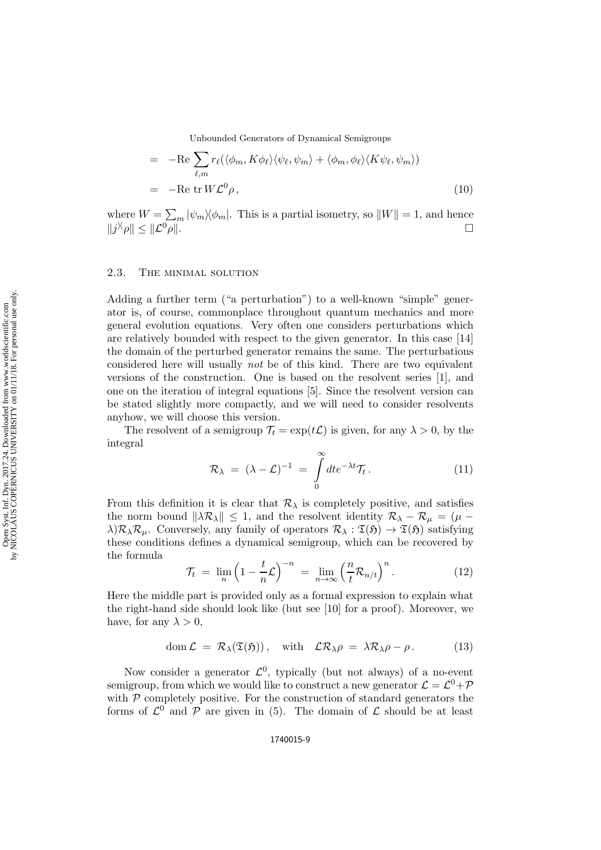$$
= -\text{Re}\sum_{\ell,m} r_{\ell}(\langle \phi_m, K\phi_{\ell} \rangle \langle \psi_{\ell}, \psi_m \rangle + \langle \phi_m, \phi_{\ell} \rangle \langle K\psi_{\ell}, \psi_m \rangle)
$$
  
= -\text{Re tr } W \mathcal{L}^0 \rho, (10)

where  $W = \sum_m |\psi_m\rangle\langle\phi_m|$ . This is a partial isometry, so  $||W|| = 1$ , and hence  $||j^{\chi}\rho|| \leq ||\mathcal{L}^0\rho||.$ 

# 2.3. The minimal solution

Adding a further term ("a perturbation") to a well-known "simple" generator is, of course, commonplace throughout quantum mechanics and more general evolution equations. Very often one considers perturbations which are relatively bounded with respect to the given generator. In this case [14] the domain of the perturbed generator remains the same. The perturbations considered here will usually not be of this kind. There are two equivalent versions of the construction. One is based on the resolvent series [1], and one on the iteration of integral equations [5]. Since the resolvent version can be stated slightly more compactly, and we will need to consider resolvents anyhow, we will choose this version.

The resolvent of a semigroup  $\mathcal{T}_t = \exp(t\mathcal{L})$  is given, for any  $\lambda > 0$ , by the integral

$$
\mathcal{R}_{\lambda} = (\lambda - \mathcal{L})^{-1} = \int_{0}^{\infty} dt e^{-\lambda t} \mathcal{T}_{t}.
$$
 (11)

From this definition it is clear that  $\mathcal{R}_{\lambda}$  is completely positive, and satisfies the norm bound  $\|\lambda \mathcal{R}_{\lambda}\| \leq 1$ , and the resolvent identity  $\mathcal{R}_{\lambda} - \mathcal{R}_{\mu} = (\mu - \lambda)$  $\lambda$ ) $\mathcal{R}_{\lambda}$  $\mathcal{R}_{\mu}$ . Conversely, any family of operators  $\mathcal{R}_{\lambda}$ :  $\mathfrak{T}(\mathfrak{H}) \to \mathfrak{T}(\mathfrak{H})$  satisfying these conditions defines a dynamical semigroup, which can be recovered by the formula

$$
\mathcal{T}_t = \lim_n \left( 1 - \frac{t}{n} \mathcal{L} \right)^{-n} = \lim_{n \to \infty} \left( \frac{n}{t} \mathcal{R}_{n/t} \right)^n.
$$
 (12)

Here the middle part is provided only as a formal expression to explain what the right-hand side should look like (but see [10] for a proof). Moreover, we have, for any  $\lambda > 0$ ,

$$
\text{dom}\,\mathcal{L} \;=\; \mathcal{R}_{\lambda}(\mathfrak{T}(\mathfrak{H}))\,,\quad \text{with}\quad \mathcal{L}\mathcal{R}_{\lambda}\rho \;=\; \lambda\mathcal{R}_{\lambda}\rho - \rho\,.\tag{13}
$$

Now consider a generator  $\mathcal{L}^0$ , typically (but not always) of a no-event semigroup, from which we would like to construct a new generator  $\mathcal{L} = \mathcal{L}^0 + \mathcal{P}$ with  $P$  completely positive. For the construction of standard generators the forms of  $\mathcal{L}^0$  and  $\mathcal P$  are given in (5). The domain of  $\mathcal L$  should be at least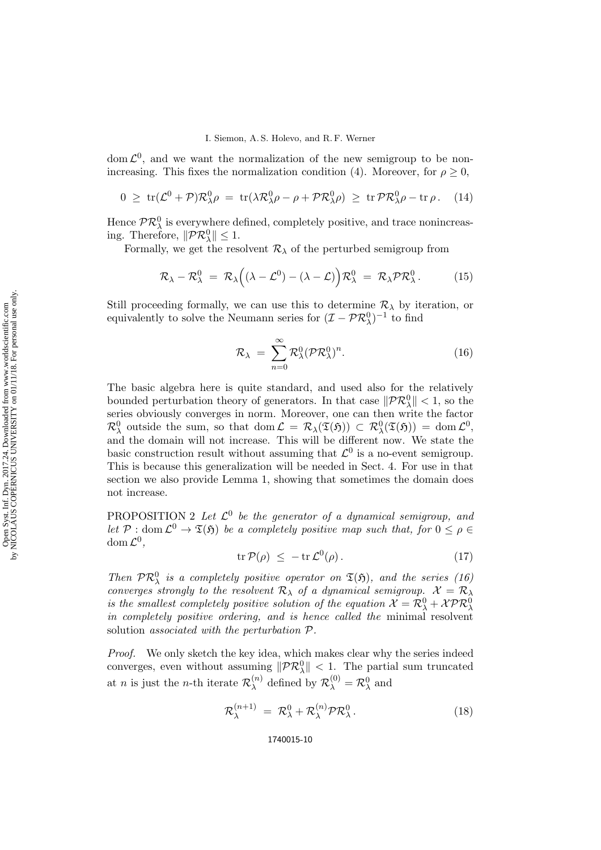$\dim \mathcal{L}^0$ , and we want the normalization of the new semigroup to be nonincreasing. This fixes the normalization condition (4). Moreover, for  $\rho \geq 0$ ,

$$
0 \geq \operatorname{tr}(\mathcal{L}^0 + \mathcal{P})\mathcal{R}^0_{\lambda}\rho = \operatorname{tr}(\lambda \mathcal{R}^0_{\lambda}\rho - \rho + \mathcal{P}\mathcal{R}^0_{\lambda}\rho) \geq \operatorname{tr}\mathcal{P}\mathcal{R}^0_{\lambda}\rho - \operatorname{tr}\rho. \quad (14)
$$

Hence  $PR^0_\lambda$  is everywhere defined, completely positive, and trace nonincreasing. Therefore,  $\|\mathcal{PR}_{\lambda}^0\| \leq 1$ .

Formally, we get the resolvent  $\mathcal{R}_{\lambda}$  of the perturbed semigroup from

$$
\mathcal{R}_{\lambda} - \mathcal{R}_{\lambda}^{0} = \mathcal{R}_{\lambda} \Big( (\lambda - \mathcal{L}^{0}) - (\lambda - \mathcal{L}) \Big) \mathcal{R}_{\lambda}^{0} = \mathcal{R}_{\lambda} \mathcal{P} \mathcal{R}_{\lambda}^{0}. \tag{15}
$$

Still proceeding formally, we can use this to determine  $\mathcal{R}_{\lambda}$  by iteration, or equivalently to solve the Neumann series for  $(\mathcal{I} - \mathcal{PR}_{\lambda}^0)^{-1}$  to find

$$
\mathcal{R}_{\lambda} = \sum_{n=0}^{\infty} \mathcal{R}_{\lambda}^{0} (\mathcal{P} \mathcal{R}_{\lambda}^{0})^{n}.
$$
 (16)

The basic algebra here is quite standard, and used also for the relatively bounded perturbation theory of generators. In that case  $\|\mathcal{PR}_{\lambda}^0\| < 1$ , so the series obviously converges in norm. Moreover, one can then write the factor  $\mathcal{R}^0_\lambda$  outside the sum, so that dom  $\mathcal{L} = \mathcal{R}_\lambda(\mathfrak{T}(\mathfrak{H})) \subset \mathcal{R}^0_\lambda(\mathfrak{T}(\mathfrak{H})) = \text{dom } \mathcal{L}^0$ , and the domain will not increase. This will be different now. We state the basic construction result without assuming that  $\mathcal{L}^0$  is a no-event semigroup. This is because this generalization will be needed in Sect. 4. For use in that section we also provide Lemma 1, showing that sometimes the domain does not increase.

PROPOSITION 2 Let  $\mathcal{L}^0$  be the generator of a dynamical semigroup, and let  $P : \text{dom }\mathcal{L}^0 \to \mathfrak{T}(\mathfrak{H})$  be a completely positive map such that, for  $0 \leq \rho \in$  $dom \mathcal{L}^0$ ,

$$
\operatorname{tr} \mathcal{P}(\rho) \le -\operatorname{tr} \mathcal{L}^0(\rho). \tag{17}
$$

Then  $PR^0_\lambda$  is a completely positive operator on  $\mathfrak{T}(\mathfrak{H})$ , and the series (16) converges strongly to the resolvent  $\mathcal{R}_{\lambda}$  of a dynamical semigroup.  $\mathcal{X} = \mathcal{R}_{\lambda}$ is the smallest completely positive solution of the equation  $\mathcal{X} = \mathcal{R}_{\lambda}^0 + \mathcal{X} \mathcal{P} \mathcal{R}_{\lambda}^0$ in completely positive ordering, and is hence called the minimal resolvent solution *associated with the perturbation*  $P$ .

Proof. We only sketch the key idea, which makes clear why the series indeed converges, even without assuming  $\|\mathcal{PR}_{\lambda}^0\|$  < 1. The partial sum truncated at *n* is just the *n*-th iterate  $\mathcal{R}_{\lambda}^{(n)}$  $\chi_{\lambda}^{(n)}$  defined by  $\mathcal{R}_{\lambda}^{(0)} = \mathcal{R}_{\lambda}^{0}$  and

$$
\mathcal{R}_{\lambda}^{(n+1)} = \mathcal{R}_{\lambda}^0 + \mathcal{R}_{\lambda}^{(n)} \mathcal{P} \mathcal{R}_{\lambda}^0. \qquad (18)
$$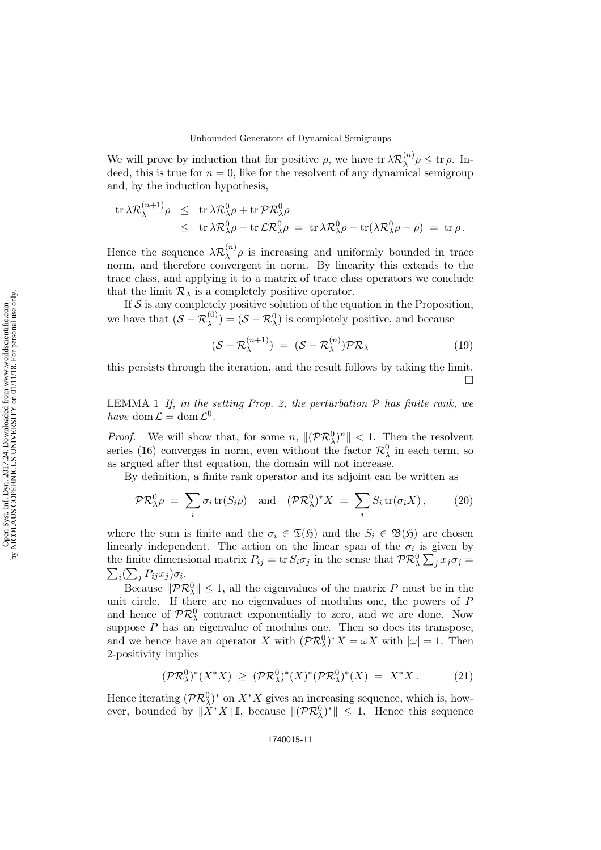We will prove by induction that for positive  $\rho$ , we have tr  $\lambda \mathcal{R}_{\lambda}^{(n)}$  $\lambda^{(n)} \rho \leq \text{tr } \rho.$  Indeed, this is true for  $n = 0$ , like for the resolvent of any dynamical semigroup and, by the induction hypothesis,

$$
\begin{array}{rcl}\n\operatorname{tr}\lambda\mathcal{R}_{\lambda}^{(n+1)}\rho & \leq & \operatorname{tr}\lambda\mathcal{R}_{\lambda}^{0}\rho + \operatorname{tr}\mathcal{P}\mathcal{R}_{\lambda}^{0}\rho \\
& \leq & \operatorname{tr}\lambda\mathcal{R}_{\lambda}^{0}\rho - \operatorname{tr}\mathcal{L}\mathcal{R}_{\lambda}^{0}\rho = \operatorname{tr}\lambda\mathcal{R}_{\lambda}^{0}\rho - \operatorname{tr}(\lambda\mathcal{R}_{\lambda}^{0}\rho - \rho) = \operatorname{tr}\rho.\n\end{array}
$$

Hence the sequence  $\lambda \mathcal{R}_{\lambda}^{(n)}$  $\lambda^{(n)}$  is increasing and uniformly bounded in trace norm, and therefore convergent in norm. By linearity this extends to the trace class, and applying it to a matrix of trace class operators we conclude that the limit  $\mathcal{R}_{\lambda}$  is a completely positive operator.

If  $S$  is any completely positive solution of the equation in the Proposition, we have that  $(S - \mathcal{R}_{\lambda}^{(0)}) = (S - \mathcal{R}_{\lambda}^{0})$  is completely positive, and because

$$
(\mathcal{S} - \mathcal{R}_{\lambda}^{(n+1)}) = (\mathcal{S} - \mathcal{R}_{\lambda}^{(n)})\mathcal{P}\mathcal{R}_{\lambda}
$$
 (19)

this persists through the iteration, and the result follows by taking the limit.  $\Box$ 

LEMMA 1 If, in the setting Prop. 2, the perturbation  $P$  has finite rank, we have dom  $\mathcal{L} = \text{dom } \mathcal{L}^0$ .

*Proof.* We will show that, for some  $n, \|(\mathcal{PR}_{\lambda}^0)^n\| < 1$ . Then the resolvent series (16) converges in norm, even without the factor  $\mathcal{R}^0_\lambda$  in each term, so as argued after that equation, the domain will not increase.

By definition, a finite rank operator and its adjoint can be written as

$$
\mathcal{PR}_{\lambda}^{0} \rho = \sum_{i} \sigma_{i} \operatorname{tr}(S_{i} \rho) \quad \text{and} \quad (\mathcal{PR}_{\lambda}^{0})^{*} X = \sum_{i} S_{i} \operatorname{tr}(\sigma_{i} X), \quad (20)
$$

where the sum is finite and the  $\sigma_i \in \mathfrak{T}(\mathfrak{H})$  and the  $S_i \in \mathfrak{B}(\mathfrak{H})$  are chosen linearly independent. The action on the linear span of the  $\sigma_i$  is given by the finite dimensional matrix  $P_{ij} = \text{tr } S_i \sigma_j$  in the sense that  $\mathcal{PR}^0_{\lambda} \sum_j x_j \sigma_j = \sum_j (\sum_j P_{ij} x_j) \sigma_j$ .  $_i(\sum_j P_{ij}x_j)\sigma_i.$ 

Because  $\|\mathcal{PR}_{\lambda}^0\| \leq 1$ , all the eigenvalues of the matrix P must be in the unit circle. If there are no eigenvalues of modulus one, the powers of P and hence of  $PR^0_\lambda$  contract exponentially to zero, and we are done. Now suppose  $P$  has an eigenvalue of modulus one. Then so does its transpose, and we hence have an operator X with  $(\mathcal{PR}_{\lambda}^0)^*X = \omega X$  with  $|\omega| = 1$ . Then 2-positivity implies

$$
(\mathcal{PR}_{\lambda}^0)^*(X^*X) \geq (\mathcal{PR}_{\lambda}^0)^*(X)^*(\mathcal{PR}_{\lambda}^0)^*(X) = X^*X. \tag{21}
$$

Hence iterating  $(\mathcal{PR}_\lambda^0)^*$  on  $X^*X$  gives an increasing sequence, which is, however, bounded by  $\|\tilde{X}^*X\|\mathbb{1}$ , because  $\|(\mathcal{PR}_{\lambda}^0)^*\| \leq 1$ . Hence this sequence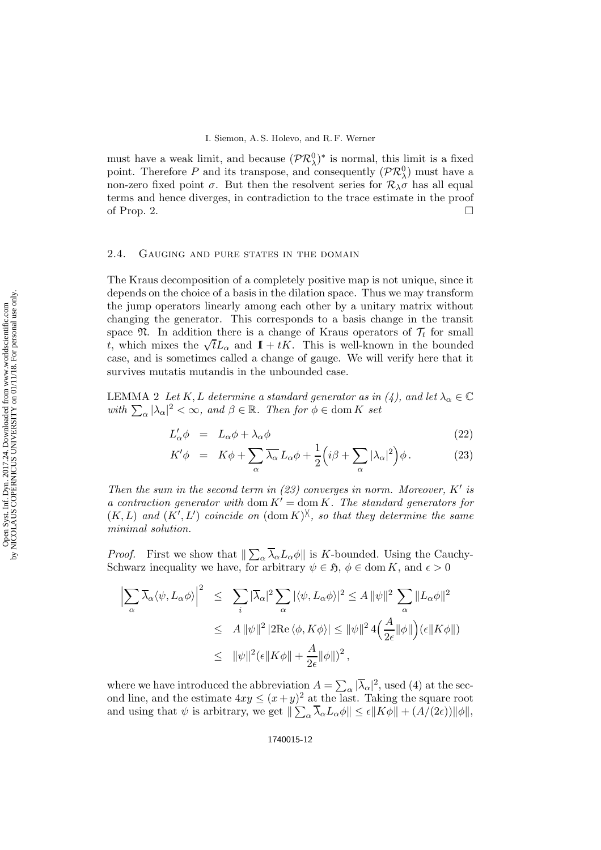must have a weak limit, and because  $(\mathcal{PR}_{\lambda}^{0})^*$  is normal, this limit is a fixed point. Therefore P and its transpose, and consequently  $(\mathcal{PR}_{\lambda}^0)$  must have a non-zero fixed point  $\sigma$ . But then the resolvent series for  $\mathcal{R}_{\lambda}\sigma$  has all equal terms and hence diverges, in contradiction to the trace estimate in the proof of Prop. 2.  $\Box$ 

## 2.4. GAUGING AND PURE STATES IN THE DOMAIN

The Kraus decomposition of a completely positive map is not unique, since it depends on the choice of a basis in the dilation space. Thus we may transform the jump operators linearly among each other by a unitary matrix without changing the generator. This corresponds to a basis change in the transit space  $\mathfrak{N}$ . In addition there is a change of Kraus operators of  $\mathcal{T}_t$  for small t, which mixes the  $\sqrt{t}L_{\alpha}$  and  $\mathbb{I} + tK$ . This is well-known in the bounded case, and is sometimes called a change of gauge. We will verify here that it survives mutatis mutandis in the unbounded case.

LEMMA 2 Let K, L determine a standard generator as in (4), and let  $\lambda_{\alpha} \in \mathbb{C}$ with  $\sum_{\alpha} |\lambda_{\alpha}|^2 < \infty$ , and  $\beta \in \mathbb{R}$ . Then for  $\phi \in \text{dom } K$  set

$$
L'_{\alpha}\phi = L_{\alpha}\phi + \lambda_{\alpha}\phi \tag{22}
$$

$$
K'\phi = K\phi + \sum_{\alpha} \overline{\lambda_{\alpha}} L_{\alpha}\phi + \frac{1}{2} \Big( i\beta + \sum_{\alpha} |\lambda_{\alpha}|^2 \Big) \phi. \tag{23}
$$

Then the sum in the second term in  $(23)$  converges in norm. Moreover, K' is a contraction generator with dom  $K' = \text{dom } K$ . The standard generators for  $(K, L)$  and  $(K', L')$  coincide on  $(\text{dom } K)^\chi$ , so that they determine the same minimal solution.

*Proof.* First we show that  $\|\sum_{\alpha} \overline{\lambda}_{\alpha} L_{\alpha} \phi\|$  is K-bounded. Using the Cauchy-Schwarz inequality we have, for arbitrary  $\psi \in \mathfrak{H}$ ,  $\phi \in \text{dom } K$ , and  $\epsilon > 0$ 

$$
\left| \sum_{\alpha} \overline{\lambda}_{\alpha} \langle \psi, L_{\alpha} \phi \rangle \right|^2 \leq \sum_{i} |\overline{\lambda}_{\alpha}|^2 \sum_{\alpha} |\langle \psi, L_{\alpha} \phi \rangle|^2 \leq A \, \|\psi\|^2 \sum_{\alpha} \|L_{\alpha} \phi\|^2
$$
  

$$
\leq A \, \|\psi\|^2 \, |2 \text{Re } \langle \phi, K\phi \rangle| \leq \|\psi\|^2 \, 4 \Big( \frac{A}{2\epsilon} \|\phi\| \Big) (\epsilon \|K\phi\|)
$$
  

$$
\leq \|\psi\|^2 (\epsilon \|K\phi\| + \frac{A}{2\epsilon} \|\phi\|)^2 ,
$$

where we have introduced the abbreviation  $A = \sum_{\alpha} |\overline{\lambda}_{\alpha}|^2$ , used (4) at the second line, and the estimate  $4xy \leq (x+y)^2$  at the last. Taking the square root and using that  $\psi$  is arbitrary, we get  $\|\sum_{\alpha} \overline{\lambda}_{\alpha} L_{\alpha} \phi\| \leq \epsilon \|K\phi\| + (A/(2\epsilon))\|\phi\|$ ,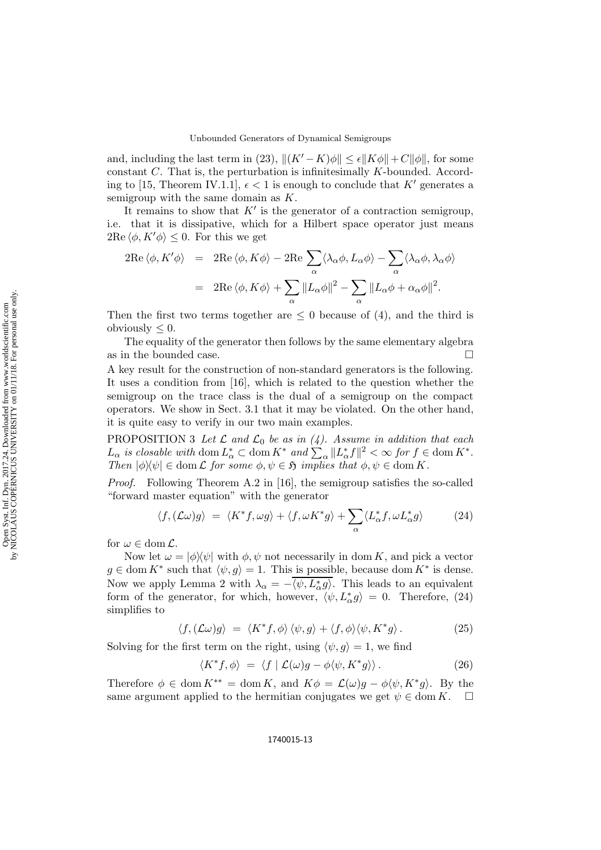and, including the last term in (23),  $||(K' - K)\phi|| \leq \epsilon ||K\phi|| + C||\phi||$ , for some constant C. That is, the perturbation is infinitesimally K-bounded. According to [15, Theorem IV.1.1],  $\epsilon$  < 1 is enough to conclude that K' generates a semigroup with the same domain as K.

It remains to show that  $K'$  is the generator of a contraction semigroup, i.e. that it is dissipative, which for a Hilbert space operator just means  $2\text{Re}\langle \phi, K'\phi \rangle \leq 0$ . For this we get

$$
2\text{Re}\langle \phi, K'\phi \rangle = 2\text{Re}\langle \phi, K\phi \rangle - 2\text{Re}\sum_{\alpha} \langle \lambda_{\alpha}\phi, L_{\alpha}\phi \rangle - \sum_{\alpha} \langle \lambda_{\alpha}\phi, \lambda_{\alpha}\phi \rangle
$$

$$
= 2\text{Re}\langle \phi, K\phi \rangle + \sum_{\alpha} ||L_{\alpha}\phi||^2 - \sum_{\alpha} ||L_{\alpha}\phi + \alpha_{\alpha}\phi||^2.
$$

Then the first two terms together are  $\leq 0$  because of (4), and the third is obviously  $\leq 0$ .

The equality of the generator then follows by the same elementary algebra as in the bounded case.

A key result for the construction of non-standard generators is the following. It uses a condition from [16], which is related to the question whether the semigroup on the trace class is the dual of a semigroup on the compact operators. We show in Sect. 3.1 that it may be violated. On the other hand, it is quite easy to verify in our two main examples.

PROPOSITION 3 Let  $\mathcal L$  and  $\mathcal L_0$  be as in (4). Assume in addition that each  $L_{\alpha}$  is closable with dom  $L_{\alpha}^* \subset \text{dom } K^*$  and  $\sum_{\alpha} ||L_{\alpha}^* f||^2 < \infty$  for  $f \in \text{dom } K^*$ . Then  $|\phi\rangle\langle\psi| \in \text{dom }\mathcal{L}$  for some  $\phi, \psi \in \mathfrak{H}$  implies that  $\phi, \psi \in \text{dom } K$ .

Proof. Following Theorem A.2 in [16], the semigroup satisfies the so-called "forward master equation" with the generator

$$
\langle f, (\mathcal{L}\omega)g \rangle = \langle K^* f, \omega g \rangle + \langle f, \omega K^* g \rangle + \sum_{\alpha} \langle L_{\alpha}^* f, \omega L_{\alpha}^* g \rangle \tag{24}
$$

for  $\omega \in \text{dom }\mathcal{L}$ .

Now let  $\omega = |\phi\rangle\langle\psi|$  with  $\phi, \psi$  not necessarily in dom K, and pick a vector  $g \in \text{dom } K^*$  such that  $\langle \psi, g \rangle = 1$ . This is possible, because dom  $K^*$  is dense. Now we apply Lemma 2 with  $\lambda_{\alpha} = -\langle \psi, L_{\alpha}^* g \rangle$ . This leads to an equivalent form of the generator, for which, however,  $\langle \psi, L^*_{\alpha} g \rangle = 0$ . Therefore, (24) simplifies to

$$
\langle f, (\mathcal{L}\omega)g \rangle = \langle K^* f, \phi \rangle \langle \psi, g \rangle + \langle f, \phi \rangle \langle \psi, K^* g \rangle. \tag{25}
$$

Solving for the first term on the right, using  $\langle \psi, g \rangle = 1$ , we find

$$
\langle K^* f, \phi \rangle = \langle f | \mathcal{L}(\omega) g - \phi \langle \psi, K^* g \rangle \rangle. \tag{26}
$$

Therefore  $\phi \in \text{dom } K^{**} = \text{dom } K$ , and  $K\phi = \mathcal{L}(\omega)g - \phi \langle \psi, K^*g \rangle$ . By the same argument applied to the hermitian conjugates we get  $\psi \in \text{dom } K$ .  $\Box$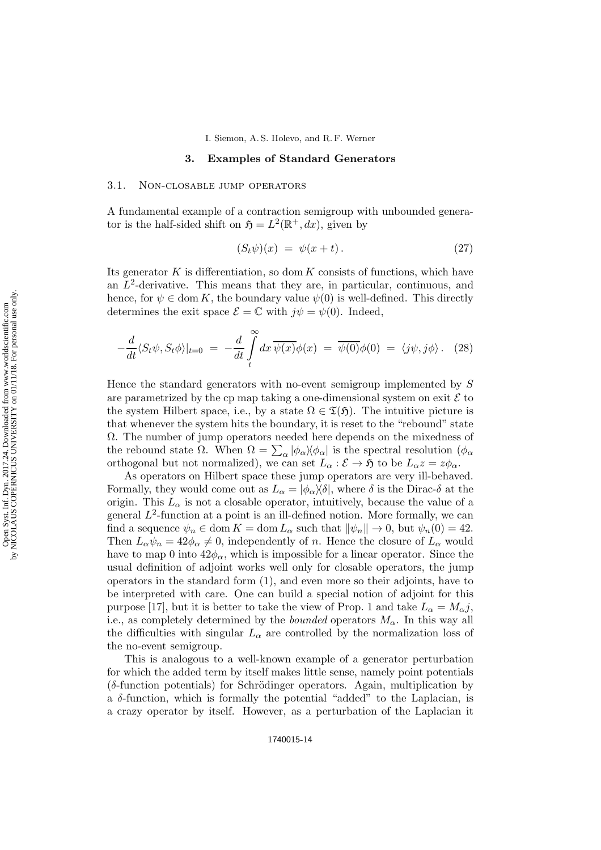## 3. Examples of Standard Generators

#### 3.1. Non-closable jump operators

A fundamental example of a contraction semigroup with unbounded generator is the half-sided shift on  $\mathfrak{H} = L^2(\mathbb{R}^+, dx)$ , given by

$$
(S_t \psi)(x) = \psi(x+t). \tag{27}
$$

Its generator  $K$  is differentiation, so dom  $K$  consists of functions, which have an  $L^2$ -derivative. This means that they are, in particular, continuous, and hence, for  $\psi \in \text{dom } K$ , the boundary value  $\psi(0)$  is well-defined. This directly determines the exit space  $\mathcal{E} = \mathbb{C}$  with  $j\psi = \psi(0)$ . Indeed,

$$
-\frac{d}{dt}\langle S_t\psi, S_t\phi\rangle|_{t=0} = -\frac{d}{dt}\int\limits_t^\infty dx \,\overline{\psi(x)}\phi(x) = \overline{\psi(0)}\phi(0) = \langle j\psi, j\phi\rangle. \tag{28}
$$

Hence the standard generators with no-event semigroup implemented by S are parametrized by the cp map taking a one-dimensional system on exit  $\mathcal E$  to the system Hilbert space, i.e., by a state  $\Omega \in \mathfrak{T}(\mathfrak{H})$ . The intuitive picture is that whenever the system hits the boundary, it is reset to the "rebound" state  $\Omega$ . The number of jump operators needed here depends on the mixedness of the rebound state  $\Omega$ . When  $\Omega = \sum_{\alpha} |\phi_{\alpha}\rangle\langle\phi_{\alpha}|$  is the spectral resolution  $(\phi_{\alpha})$ orthogonal but not normalized), we can set  $L_{\alpha}: \mathcal{E} \to \mathfrak{H}$  to be  $L_{\alpha}z = z\phi_{\alpha}$ .

As operators on Hilbert space these jump operators are very ill-behaved. Formally, they would come out as  $L_{\alpha} = |\phi_{\alpha}\rangle\langle\delta|$ , where  $\delta$  is the Dirac- $\delta$  at the origin. This  $L_{\alpha}$  is not a closable operator, intuitively, because the value of a general  $L^2$ -function at a point is an ill-defined notion. More formally, we can find a sequence  $\psi_n \in \text{dom } K = \text{dom } L_\alpha$  such that  $\|\psi_n\| \to 0$ , but  $\psi_n(0) = 42$ . Then  $L_{\alpha}\psi_n = 42\phi_{\alpha} \neq 0$ , independently of *n*. Hence the closure of  $L_{\alpha}$  would have to map 0 into  $42\phi_{\alpha}$ , which is impossible for a linear operator. Since the usual definition of adjoint works well only for closable operators, the jump operators in the standard form (1), and even more so their adjoints, have to be interpreted with care. One can build a special notion of adjoint for this purpose [17], but it is better to take the view of Prop. 1 and take  $L_{\alpha} = M_{\alpha} j$ , i.e., as completely determined by the *bounded* operators  $M_{\alpha}$ . In this way all the difficulties with singular  $L_{\alpha}$  are controlled by the normalization loss of the no-event semigroup.

This is analogous to a well-known example of a generator perturbation for which the added term by itself makes little sense, namely point potentials  $(\delta$ -function potentials) for Schrödinger operators. Again, multiplication by a δ-function, which is formally the potential "added" to the Laplacian, is a crazy operator by itself. However, as a perturbation of the Laplacian it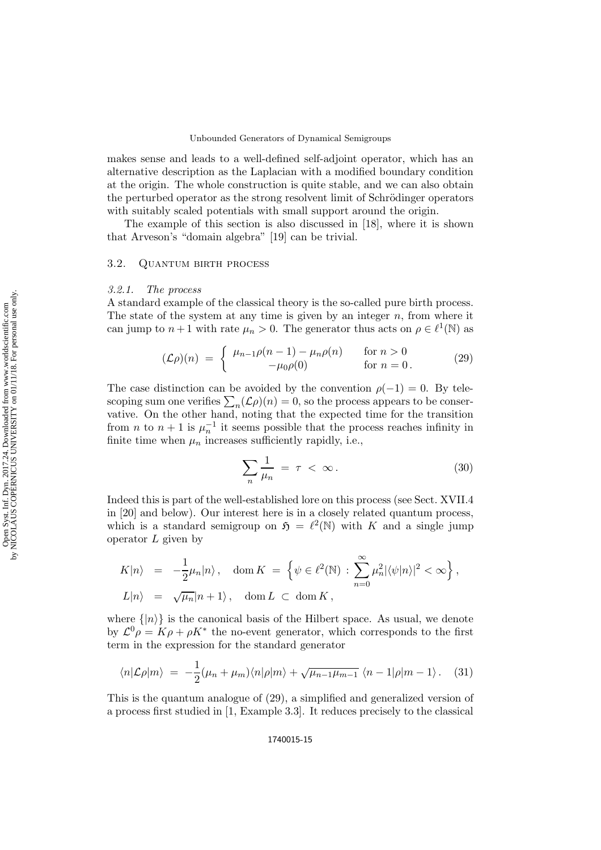makes sense and leads to a well-defined self-adjoint operator, which has an alternative description as the Laplacian with a modified boundary condition at the origin. The whole construction is quite stable, and we can also obtain the perturbed operator as the strong resolvent limit of Schrödinger operators with suitably scaled potentials with small support around the origin.

The example of this section is also discussed in [18], where it is shown that Arveson's "domain algebra" [19] can be trivial.

# 3.2. Quantum birth process

#### 3.2.1. The process

A standard example of the classical theory is the so-called pure birth process. The state of the system at any time is given by an integer  $n$ , from where it can jump to  $n+1$  with rate  $\mu_n > 0$ . The generator thus acts on  $\rho \in \ell^1(\mathbb{N})$  as

$$
(\mathcal{L}\rho)(n) = \begin{cases} \mu_{n-1}\rho(n-1) - \mu_n\rho(n) & \text{for } n > 0 \\ -\mu_0\rho(0) & \text{for } n = 0. \end{cases}
$$
 (29)

The case distinction can be avoided by the convention  $\rho(-1) = 0$ . By telescoping sum one verifies  $\sum_{n} (\mathcal{L} \rho)(n) = 0$ , so the process appears to be conservative. On the other hand, noting that the expected time for the transition from *n* to  $n + 1$  is  $\mu_n^{-1}$  it seems possible that the process reaches infinity in finite time when  $\mu_n$  increases sufficiently rapidly, i.e.,

$$
\sum_{n} \frac{1}{\mu_n} = \tau < \infty. \tag{30}
$$

Indeed this is part of the well-established lore on this process (see Sect. XVII.4 in [20] and below). Our interest here is in a closely related quantum process, which is a standard semigroup on  $\mathfrak{H} = \ell^2(\mathbb{N})$  with K and a single jump operator  $L$  given by

$$
K|n\rangle = -\frac{1}{2}\mu_n|n\rangle, \quad \text{dom}\,K = \left\{\psi \in \ell^2(\mathbb{N}) : \sum_{n=0}^{\infty} \mu_n^2 |\langle \psi | n \rangle|^2 < \infty \right\},\
$$
  

$$
L|n\rangle = \sqrt{\mu_n}|n+1\rangle, \quad \text{dom}\,L \subset \text{dom}\,K\,,
$$

where  $\{|n\rangle\}$  is the canonical basis of the Hilbert space. As usual, we denote by  $\mathcal{L}^0 \rho = K \rho + \rho K^*$  the no-event generator, which corresponds to the first term in the expression for the standard generator

$$
\langle n|\mathcal{L}\rho|m\rangle = -\frac{1}{2}(\mu_n + \mu_m)\langle n|\rho|m\rangle + \sqrt{\mu_{n-1}\mu_{m-1}}\langle n-1|\rho|m-1\rangle. \quad (31)
$$

This is the quantum analogue of (29), a simplified and generalized version of a process first studied in [1, Example 3.3]. It reduces precisely to the classical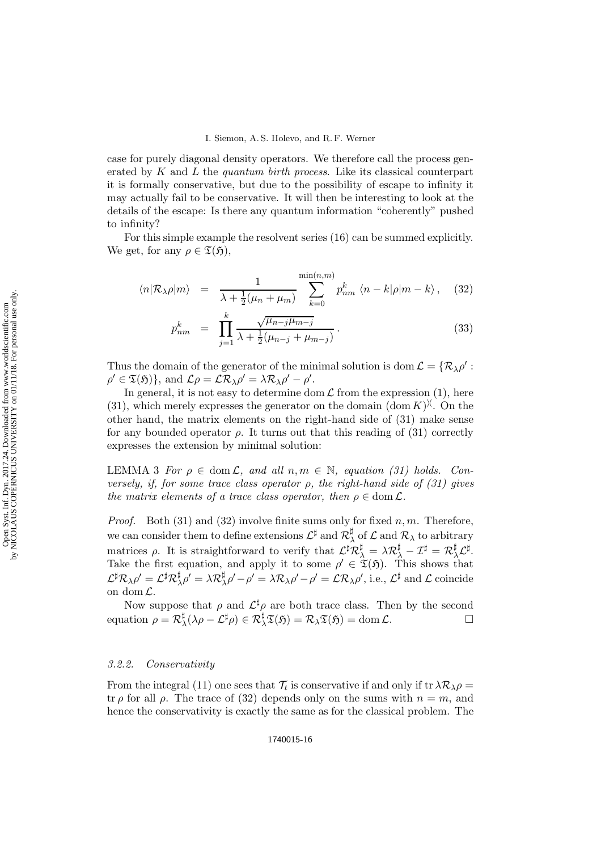case for purely diagonal density operators. We therefore call the process generated by  $K$  and  $L$  the *quantum birth process*. Like its classical counterpart it is formally conservative, but due to the possibility of escape to infinity it may actually fail to be conservative. It will then be interesting to look at the details of the escape: Is there any quantum information "coherently" pushed to infinity?

For this simple example the resolvent series (16) can be summed explicitly. We get, for any  $\rho \in \mathfrak{T}(\mathfrak{H}),$ 

$$
\langle n|\mathcal{R}_{\lambda}\rho|m\rangle = \frac{1}{\lambda + \frac{1}{2}(\mu_n + \mu_m)} \sum_{k=0}^{\min(n,m)} p_{nm}^k \langle n-k|\rho|m-k\rangle, \quad (32)
$$

$$
p_{nm}^k = \prod_{j=1}^k \frac{\sqrt{\mu_{n-j}\mu_{m-j}}}{\lambda + \frac{1}{2}(\mu_{n-j} + \mu_{m-j})}.
$$
 (33)

Thus the domain of the generator of the minimal solution is dom  $\mathcal{L} = \{ \mathcal{R}_{\lambda} \rho' :$  $\rho' \in \mathfrak{T}(\mathfrak{H})\}, \text{ and } \mathcal{L}\rho = \mathcal{L}\mathcal{R}_{\lambda}\rho' = \lambda \mathcal{R}_{\lambda}\rho' - \rho'.$ 

In general, it is not easy to determine dom  $\mathcal L$  from the expression (1), here  $(31)$ , which merely expresses the generator on the domain  $(\text{dom } K)$ <sup>X</sup>. On the other hand, the matrix elements on the right-hand side of (31) make sense for any bounded operator  $\rho$ . It turns out that this reading of (31) correctly expresses the extension by minimal solution:

LEMMA 3 For  $\rho \in \text{dom }\mathcal{L}$ , and all  $n, m \in \mathbb{N}$ , equation (31) holds. Conversely, if, for some trace class operator  $\rho$ , the right-hand side of (31) gives the matrix elements of a trace class operator, then  $\rho \in \text{dom } \mathcal{L}$ .

*Proof.* Both (31) and (32) involve finite sums only for fixed  $n, m$ . Therefore, we can consider them to define extensions  $\mathcal{L}^\sharp$  and  $\mathcal{R}^\sharp_\mathcal{I}$  $\lambda \text{ of } \mathcal{L} \text{ and } \mathcal{R}_{\lambda} \text{ to arbitrary }$ matrices  $\rho$ . It is straightforward to verify that  $\mathcal{L}^{\sharp}\mathcal{R}_{\lambda}^{\sharp} = \lambda \mathcal{R}_{\lambda}^{\sharp} - \mathcal{I}^{\sharp} = \mathcal{R}_{\lambda}^{\sharp}\mathcal{L}^{\sharp}$ . Take the first equation, and apply it to some  $\rho' \in \mathfrak{T}(\mathfrak{H})$ . This shows that  $\mathcal{L}^\sharp\mathcal{R}_\lambda\rho'=\mathcal{L}^\sharp\mathcal{R}^\sharp_\lambda$  $^{\sharp}_{\lambda}\rho'=\lambda\mathcal{R}^{\sharp}_{\lambda}$  ${}_{\lambda}^{\sharp}\rho'-\rho'=\lambda\mathcal{R}_{\lambda}\rho'-\rho'=\mathcal{L}\mathcal{R}_{\lambda}\rho',$  i.e.,  $\mathcal{L}^{\sharp}$  and  $\mathcal{L}$  coincide on dom L.

Now suppose that  $\rho$  and  $\mathcal{L}^{\sharp} \rho$  are both trace class. Then by the second equation  $\rho = \mathcal{R}^{\sharp}_{\mathcal{I}}$  $\begin{aligned} \n\sharp_{\lambda}(\lambda \rho - \mathcal{L}^{\sharp} \rho) \in \mathcal{R}_{\lambda}^{\sharp} \mathfrak{T}(\mathfrak{H}) = \mathcal{R}_{\lambda} \mathfrak{T}(\mathfrak{H}) = \text{dom} \, \mathcal{L}. \quad \Box \end{aligned}$ 

## 3.2.2. Conservativity

From the integral (11) one sees that  $\mathcal{T}_t$  is conservative if and only if  $\text{tr }\lambda \mathcal{R}_{\lambda} \rho =$ tr  $\rho$  for all  $\rho$ . The trace of (32) depends only on the sums with  $n = m$ , and hence the conservativity is exactly the same as for the classical problem. The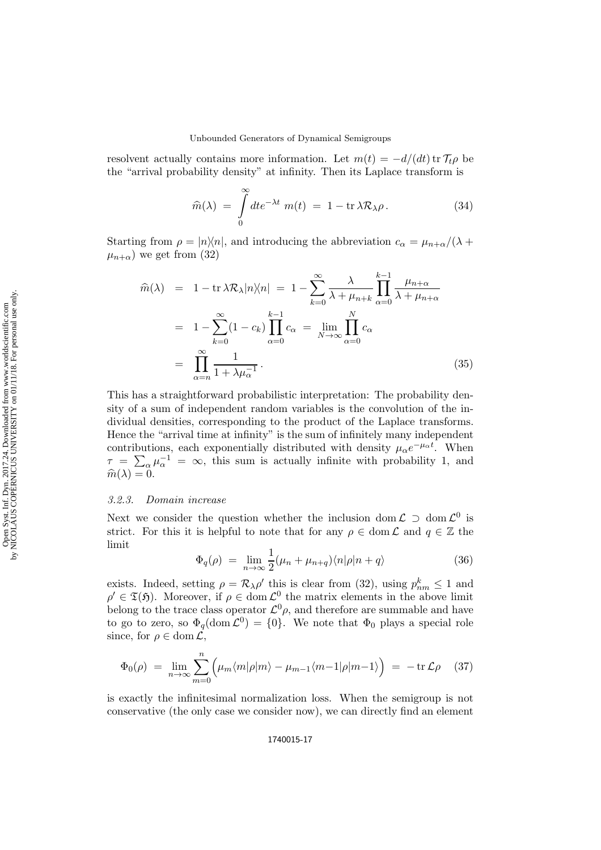resolvent actually contains more information. Let  $m(t) = -d/(dt)$  tr  $\mathcal{T}_t \rho$  be the "arrival probability density" at infinity. Then its Laplace transform is

$$
\widehat{m}(\lambda) = \int_{0}^{\infty} dt e^{-\lambda t} m(t) = 1 - \text{tr}\,\lambda \mathcal{R}_{\lambda} \rho. \tag{34}
$$

Starting from  $\rho = |n\rangle\langle n|$ , and introducing the abbreviation  $c_{\alpha} = \mu_{n+\alpha}/(\lambda +$  $\mu_{n+\alpha}$ ) we get from (32)

$$
\widehat{m}(\lambda) = 1 - \text{tr }\lambda \mathcal{R}_{\lambda} |n\rangle\langle n| = 1 - \sum_{k=0}^{\infty} \frac{\lambda}{\lambda + \mu_{n+k}} \prod_{\alpha=0}^{k-1} \frac{\mu_{n+\alpha}}{\lambda + \mu_{n+\alpha}}
$$

$$
= 1 - \sum_{k=0}^{\infty} (1 - c_k) \prod_{\alpha=0}^{k-1} c_{\alpha} = \lim_{N \to \infty} \prod_{\alpha=0}^{N} c_{\alpha}
$$

$$
= \prod_{\alpha=n}^{\infty} \frac{1}{1 + \lambda \mu_{\alpha}^{-1}}.
$$
(35)

This has a straightforward probabilistic interpretation: The probability density of a sum of independent random variables is the convolution of the individual densities, corresponding to the product of the Laplace transforms. Hence the "arrival time at infinity" is the sum of infinitely many independent contributions, each exponentially distributed with density  $\mu_{\alpha}e^{-\mu_{\alpha}t}$ . When  $\tau = \sum_{\alpha} \mu_{\alpha}^{-1} = \infty$ , this sum is actually infinite with probability 1, and  $\widehat{m}(\lambda) = 0.$ 

## 3.2.3. Domain increase

Next we consider the question whether the inclusion dom  $\mathcal{L} \supset \text{dom } \mathcal{L}^0$  is strict. For this it is helpful to note that for any  $\rho \in \text{dom } \mathcal{L}$  and  $q \in \mathbb{Z}$  the limit

$$
\Phi_q(\rho) = \lim_{n \to \infty} \frac{1}{2} (\mu_n + \mu_{n+q}) \langle n | \rho | n + q \rangle \tag{36}
$$

exists. Indeed, setting  $\rho = \mathcal{R}_{\lambda} \rho'$  this is clear from (32), using  $p_{nm}^k \leq 1$  and  $\rho' \in \mathfrak{T}(\mathfrak{H})$ . Moreover, if  $\rho \in \text{dom }\mathcal{L}^0$  the matrix elements in the above limit belong to the trace class operator  $\mathcal{L}^0 \rho$ , and therefore are summable and have to go to zero, so  $\Phi_q(\text{dom }\mathcal{L}^0) = \{0\}$ . We note that  $\Phi_0$  plays a special role since, for  $\rho \in \text{dom } L$ ,

$$
\Phi_0(\rho) = \lim_{n \to \infty} \sum_{m=0}^n \left( \mu_m \langle m | \rho | m \rangle - \mu_{m-1} \langle m-1 | \rho | m-1 \rangle \right) = -\operatorname{tr} \mathcal{L} \rho \quad (37)
$$

is exactly the infinitesimal normalization loss. When the semigroup is not conservative (the only case we consider now), we can directly find an element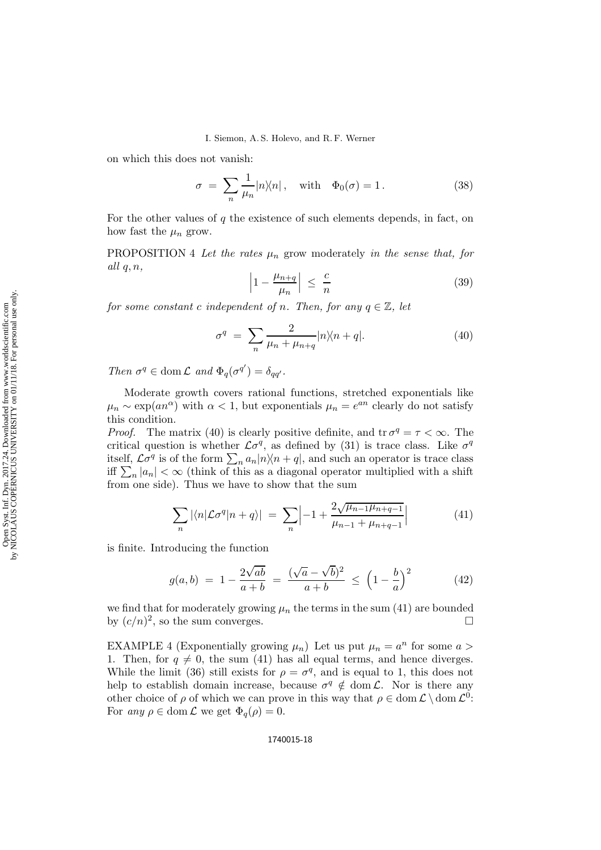on which this does not vanish:

$$
\sigma = \sum_{n} \frac{1}{\mu_n} |n\rangle\langle n|, \quad \text{with} \quad \Phi_0(\sigma) = 1. \tag{38}
$$

For the other values of  $q$  the existence of such elements depends, in fact, on how fast the  $\mu_n$  grow.

PROPOSITION 4 Let the rates  $\mu_n$  grow moderately in the sense that, for all  $q, n$ ,

$$
\left|1 - \frac{\mu_{n+q}}{\mu_n}\right| \leq \frac{c}{n} \tag{39}
$$

for some constant c independent of n. Then, for any  $q \in \mathbb{Z}$ , let

$$
\sigma^q = \sum_{n} \frac{2}{\mu_n + \mu_{n+q}} |n\rangle\langle n+q|.
$$
 (40)

Then  $\sigma^q \in \text{dom}\,\mathcal{L}$  and  $\Phi_q(\sigma^{q'}) = \delta_{qq'}$ .

Moderate growth covers rational functions, stretched exponentials like  $\mu_n \sim \exp(an^{\alpha})$  with  $\alpha < 1$ , but exponentials  $\mu_n = e^{an}$  clearly do not satisfy this condition.

*Proof.* The matrix (40) is clearly positive definite, and tr  $\sigma^q = \tau < \infty$ . The critical question is whether  $\mathcal{L}\sigma^q$ , as defined by (31) is trace class. Like  $\sigma^q$ itself,  $\mathcal{L}\sigma^q$  is of the form  $\sum_n a_n |n\rangle\langle n+q|$ , and such an operator is trace class iff  $\sum_{n} |a_n| < \infty$  (think of this as a diagonal operator multiplied with a shift from one side). Thus we have to show that the sum

$$
\sum_{n} |\langle n|\mathcal{L}\sigma^{q}|n+q\rangle| = \sum_{n} \left| -1 + \frac{2\sqrt{\mu_{n-1}\mu_{n+q-1}}}{\mu_{n-1} + \mu_{n+q-1}} \right| \tag{41}
$$

is finite. Introducing the function

$$
g(a,b) = 1 - \frac{2\sqrt{ab}}{a+b} = \frac{(\sqrt{a} - \sqrt{b})^2}{a+b} \le (1 - \frac{b}{a})^2
$$
 (42)

we find that for moderately growing  $\mu_n$  the terms in the sum (41) are bounded by  $(c/n)^2$ , so the sum converges.

EXAMPLE 4 (Exponentially growing  $\mu_n$ ) Let us put  $\mu_n = a^n$  for some  $a >$ 1. Then, for  $q \neq 0$ , the sum (41) has all equal terms, and hence diverges. While the limit (36) still exists for  $\rho = \sigma^q$ , and is equal to 1, this does not help to establish domain increase, because  $\sigma^q \notin \text{dom }\mathcal{L}$ . Nor is there any other choice of  $\rho$  of which we can prove in this way that  $\rho \in \text{dom } \mathcal{L} \setminus \text{dom } \mathcal{L}^0$ : For any  $\rho \in \text{dom }\mathcal{L}$  we get  $\Phi_q(\rho) = 0$ .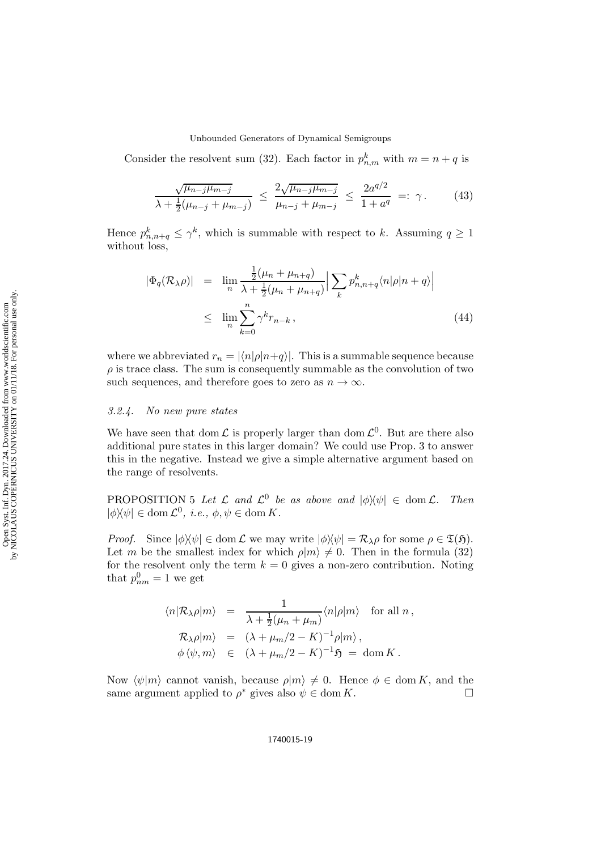Consider the resolvent sum (32). Each factor in  $p_{n,m}^k$  with  $m = n + q$  is

$$
\frac{\sqrt{\mu_{n-j}\mu_{m-j}}}{\lambda + \frac{1}{2}(\mu_{n-j} + \mu_{m-j})} \le \frac{2\sqrt{\mu_{n-j}\mu_{m-j}}}{\mu_{n-j} + \mu_{m-j}} \le \frac{2a^{q/2}}{1 + a^q} =: \gamma.
$$
 (43)

Hence  $p_{n,n+q}^k \leq \gamma^k$ , which is summable with respect to k. Assuming  $q \geq 1$ without loss,

$$
|\Phi_q(\mathcal{R}_{\lambda}\rho)| = \lim_{n} \frac{\frac{1}{2}(\mu_n + \mu_{n+q})}{\lambda + \frac{1}{2}(\mu_n + \mu_{n+q})} \Big| \sum_{k} p^k_{n,n+q} \langle n|\rho|n+q \rangle \Big|
$$
  

$$
\leq \lim_{n} \sum_{k=0}^{n} \gamma^k r_{n-k}, \tag{44}
$$

where we abbreviated  $r_n = |\langle n|\rho|n+q\rangle|$ . This is a summable sequence because  $\rho$  is trace class. The sum is consequently summable as the convolution of two such sequences, and therefore goes to zero as  $n \to \infty$ .

# 3.2.4. No new pure states

We have seen that dom  $\mathcal{L}$  is properly larger than dom  $\mathcal{L}^0$ . But are there also additional pure states in this larger domain? We could use Prop. 3 to answer this in the negative. Instead we give a simple alternative argument based on the range of resolvents.

PROPOSITION 5 Let  $\mathcal L$  and  $\mathcal L^0$  be as above and  $|\phi\rangle\langle\psi| \in \text{dom }\mathcal L$ . Then  $|\phi\rangle\langle\psi| \in \text{dom }\mathcal{L}^0$ , *i.e.*,  $\phi, \psi \in \text{dom } K$ .

*Proof.* Since  $|\phi\rangle\langle\psi| \in \text{dom }\mathcal{L}$  we may write  $|\phi\rangle\langle\psi| = \mathcal{R}_{\lambda}\rho$  for some  $\rho \in \mathfrak{T}(\mathfrak{H})$ . Let m be the smallest index for which  $\rho|m\rangle \neq 0$ . Then in the formula (32) for the resolvent only the term  $k = 0$  gives a non-zero contribution. Noting that  $p_{nm}^0 = 1$  we get

$$
\langle n|\mathcal{R}_{\lambda}\rho|m\rangle = \frac{1}{\lambda + \frac{1}{2}(\mu_n + \mu_m)} \langle n|\rho|m\rangle \text{ for all } n,
$$
  

$$
\mathcal{R}_{\lambda}\rho|m\rangle = (\lambda + \mu_m/2 - K)^{-1}\rho|m\rangle,
$$
  

$$
\phi \langle \psi, m \rangle \in (\lambda + \mu_m/2 - K)^{-1}\mathfrak{H} = \text{dom } K.
$$

Now  $\langle \psi | m \rangle$  cannot vanish, because  $\rho | m \rangle \neq 0$ . Hence  $\phi \in \text{dom } K$ , and the same argument applied to  $\rho^*$  gives also  $\psi \in \text{dom } K$ . same argument applied to  $\rho^*$  gives also  $\psi \in \text{dom } K$ .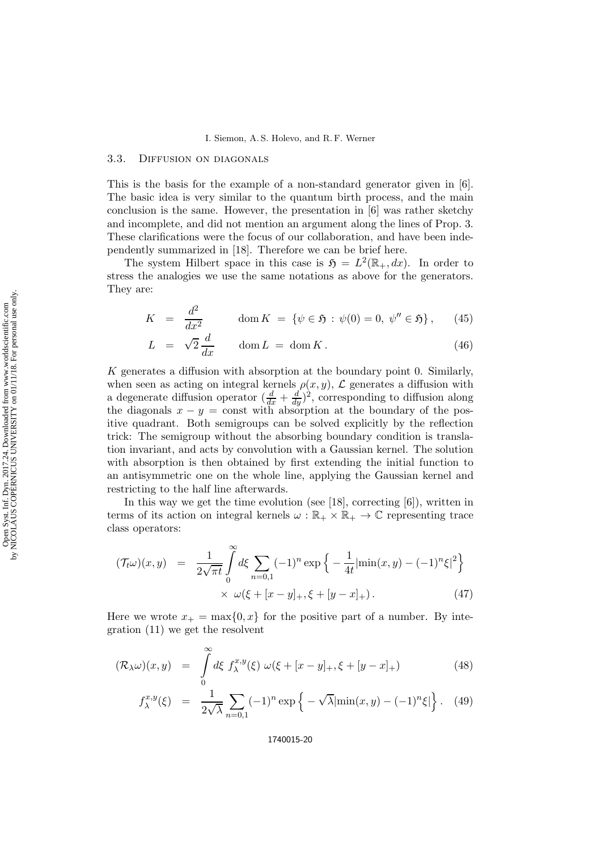## 3.3. Diffusion on diagonals

This is the basis for the example of a non-standard generator given in [6]. The basic idea is very similar to the quantum birth process, and the main conclusion is the same. However, the presentation in [6] was rather sketchy and incomplete, and did not mention an argument along the lines of Prop. 3. These clarifications were the focus of our collaboration, and have been independently summarized in [18]. Therefore we can be brief here.

The system Hilbert space in this case is  $\mathfrak{H} = L^2(\mathbb{R}_+, dx)$ . In order to stress the analogies we use the same notations as above for the generators. They are:

$$
K = \frac{d^2}{dx^2} \qquad \text{dom}\, K = \{ \psi \in \mathfrak{H} : \psi(0) = 0, \ \psi'' \in \mathfrak{H} \}, \qquad (45)
$$

$$
L = \sqrt{2} \frac{d}{dx} \qquad \text{dom}\, L = \text{dom}\, K \,.
$$
 (46)

K generates a diffusion with absorption at the boundary point  $0$ . Similarly, when seen as acting on integral kernels  $\rho(x, y)$ ,  $\mathcal L$  generates a diffusion with a degenerate diffusion operator  $(\frac{d}{dx} + \frac{d}{dy})^2$ , corresponding to diffusion along the diagonals  $x - y = \text{const}$  with absorption at the boundary of the positive quadrant. Both semigroups can be solved explicitly by the reflection trick: The semigroup without the absorbing boundary condition is translation invariant, and acts by convolution with a Gaussian kernel. The solution with absorption is then obtained by first extending the initial function to an antisymmetric one on the whole line, applying the Gaussian kernel and restricting to the half line afterwards.

In this way we get the time evolution (see [18], correcting [6]), written in terms of its action on integral kernels  $\omega : \mathbb{R}_+ \times \mathbb{R}_+ \to \mathbb{C}$  representing trace class operators:

$$
(\mathcal{T}_{t}\omega)(x,y) = \frac{1}{2\sqrt{\pi t}} \int_{0}^{\infty} d\xi \sum_{n=0,1} (-1)^{n} \exp\left\{-\frac{1}{4t}|\min(x,y) - (-1)^{n}\xi|^{2}\right\}
$$
  
 
$$
\times \omega(\xi + [x-y]_{+}, \xi + [y-x]_{+}). \tag{47}
$$

Here we wrote  $x_+ = \max\{0, x\}$  for the positive part of a number. By integration (11) we get the resolvent

$$
(\mathcal{R}_{\lambda}\omega)(x,y) = \int_{0}^{\infty} d\xi \ f_{\lambda}^{x,y}(\xi) \ \omega(\xi + [x-y]_{+}, \xi + [y-x]_{+}) \tag{48}
$$

$$
f_{\lambda}^{x,y}(\xi) = \frac{1}{2\sqrt{\lambda}} \sum_{n=0,1} (-1)^n \exp\left\{-\sqrt{\lambda}|\min(x,y) - (-1)^n \xi|\right\}.
$$
 (49)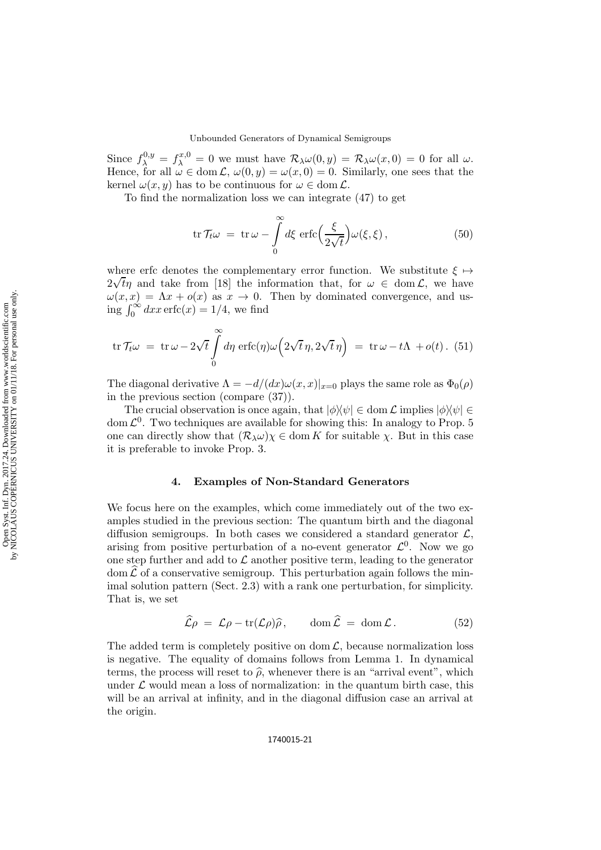Since  $f_{\lambda}^{0,y} = f_{\lambda}^{x,0} = 0$  we must have  $\mathcal{R}_{\lambda}\omega(0,y) = \mathcal{R}_{\lambda}\omega(x,0) = 0$  for all  $\omega$ . Hence, for all  $\omega \in \text{dom }\mathcal{L}$ ,  $\omega(0, y) = \omega(x, 0) = 0$ . Similarly, one sees that the kernel  $\omega(x, y)$  has to be continuous for  $\omega \in \text{dom }\mathcal{L}$ .

To find the normalization loss we can integrate (47) to get

$$
\operatorname{tr} \mathcal{T}_t \omega = \operatorname{tr} \omega - \int_0^\infty d\xi \, \operatorname{erfc}\left(\frac{\xi}{2\sqrt{t}}\right) \omega(\xi, \xi), \tag{50}
$$

where erfc denotes the complementary error function. We substitute  $\xi \mapsto$  $2\sqrt{t}\eta$  and take from [18] the information that, for  $\omega \in \text{dom }\mathcal{L}$ , we have  $\omega(x, x) = \Lambda x + o(x)$  as  $x \to 0$ . Then by dominated convergence, and using  $\int_0^\infty dx x \operatorname{erfc}(x) = 1/4$ , we find

$$
\operatorname{tr} T_t \omega = \operatorname{tr} \omega - 2\sqrt{t} \int_0^\infty d\eta \, \operatorname{erfc}(\eta) \omega \Big( 2\sqrt{t} \, \eta, 2\sqrt{t} \, \eta \Big) = \operatorname{tr} \omega - t\Lambda + o(t) \,. \tag{51}
$$

The diagonal derivative  $\Lambda = -d/(dx)\omega(x, x)|_{x=0}$  plays the same role as  $\Phi_0(\rho)$ in the previous section (compare (37)).

The crucial observation is once again, that  $|\phi\rangle\langle\psi| \in \text{dom }\mathcal{L}$  implies  $|\phi\rangle\langle\psi| \in$ dom  $\mathcal{L}^0$ . Two techniques are available for showing this: In analogy to Prop. 5 one can directly show that  $(\mathcal{R}_{\lambda}\omega)\chi \in \text{dom }K$  for suitable  $\chi$ . But in this case it is preferable to invoke Prop. 3.

## 4. Examples of Non-Standard Generators

We focus here on the examples, which come immediately out of the two examples studied in the previous section: The quantum birth and the diagonal diffusion semigroups. In both cases we considered a standard generator  $\mathcal{L}$ . arising from positive perturbation of a no-event generator  $\mathcal{L}^0$ . Now we go one step further and add to  $\mathcal L$  another positive term, leading to the generator  $\text{dom }\mathcal{L}$  of a conservative semigroup. This perturbation again follows the minimal solution pattern (Sect. 2.3) with a rank one perturbation, for simplicity. That is, we set

$$
\widehat{\mathcal{L}}\rho = \mathcal{L}\rho - \text{tr}(\mathcal{L}\rho)\widehat{\rho}, \qquad \text{dom}\,\widehat{\mathcal{L}} = \text{dom}\,\mathcal{L}. \tag{52}
$$

The added term is completely positive on dom  $\mathcal{L}$ , because normalization loss is negative. The equality of domains follows from Lemma 1. In dynamical terms, the process will reset to  $\hat{\rho}$ , whenever there is an "arrival event", which under  $\mathcal L$  would mean a loss of normalization: in the quantum birth case, this will be an arrival at infinity, and in the diagonal diffusion case an arrival at the origin.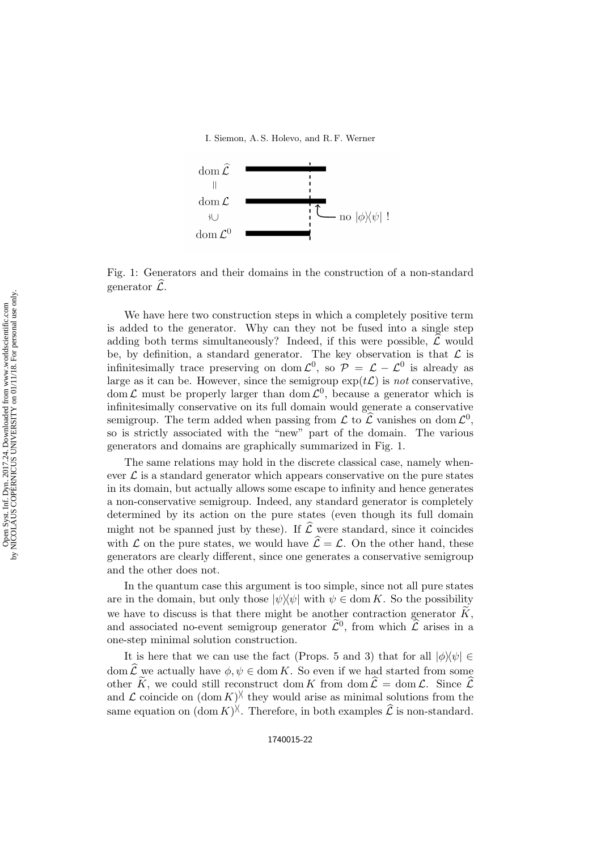I. Siemon, A. S. Holevo, and R. F. Werner



Fig. 1: Generators and their domains in the construction of a non-standard generator  $\hat{\mathcal{L}}$ .

We have here two construction steps in which a completely positive term is added to the generator. Why can they not be fused into a single step adding both terms simultaneously? Indeed, if this were possible,  $\mathcal L$  would be, by definition, a standard generator. The key observation is that  $\mathcal L$  is infinitesimally trace preserving on dom  $\mathcal{L}^0$ , so  $\mathcal{P} = \mathcal{L} - \mathcal{L}^0$  is already as large as it can be. However, since the semigroup  $\exp(t\mathcal{L})$  is not conservative, dom  $\mathcal{L}$  must be properly larger than dom  $\mathcal{L}^0$ , because a generator which is infinitesimally conservative on its full domain would generate a conservative semigroup. The term added when passing from  $\mathcal L$  to  $\widehat{\mathcal L}$  vanishes on dom  $\mathcal L^0$ , so is strictly associated with the "new" part of the domain. The various generators and domains are graphically summarized in Fig. 1.

The same relations may hold in the discrete classical case, namely whenever  $\mathcal L$  is a standard generator which appears conservative on the pure states in its domain, but actually allows some escape to infinity and hence generates a non-conservative semigroup. Indeed, any standard generator is completely determined by its action on the pure states (even though its full domain might not be spanned just by these). If  $\hat{\mathcal{L}}$  were standard, since it coincides with  $\mathcal L$  on the pure states, we would have  $\widehat{\mathcal L} = \mathcal L$ . On the other hand, these generators are clearly different, since one generates a conservative semigroup and the other does not.

In the quantum case this argument is too simple, since not all pure states are in the domain, but only those  $|\psi\rangle\langle\psi|$  with  $\psi \in \text{dom } K$ . So the possibility we have to discuss is that there might be another contraction generator  $\widetilde{K}$ , and associated no-event semigroup generator  $\mathcal{L}^0$ , from which  $\mathcal{L}$  arises in a one-step minimal solution construction.

It is here that we can use the fact (Props. 5 and 3) that for all  $|\phi\rangle\langle\psi| \in$ dom  $\hat{\mathcal{L}}$  we actually have  $\phi, \psi \in \text{dom } K$ . So even if we had started from some other  $\widetilde{K}$ , we could still reconstruct dom K from dom  $\widehat{\mathcal{L}} = \text{dom }\mathcal{L}$ . Since  $\widehat{\mathcal{L}}$ and  $\mathcal L$  coincide on  $(\text{dom } K)$ <sup>k</sup> they would arise as minimal solutions from the same equation on  $(\text{dom } K)^\chi$ . Therefore, in both examples  $\mathcal L$  is non-standard.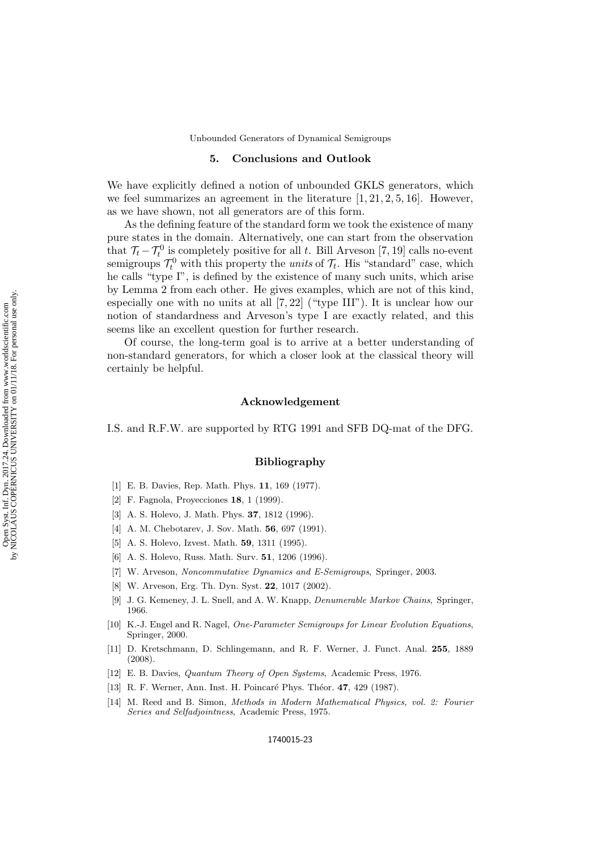#### 5. Conclusions and Outlook

We have explicitly defined a notion of unbounded GKLS generators, which we feel summarizes an agreement in the literature  $[1, 21, 2, 5, 16]$ . However, as we have shown, not all generators are of this form.

As the defining feature of the standard form we took the existence of many pure states in the domain. Alternatively, one can start from the observation that  $\mathcal{T}_t - \mathcal{T}_t^0$  is completely positive for all t. Bill Arveson [7, 19] calls no-event semigroups  $\mathcal{T}_{t}^{0}$  with this property the *units* of  $\mathcal{T}_{t}$ . His "standard" case, which he calls "type I", is defined by the existence of many such units, which arise by Lemma 2 from each other. He gives examples, which are not of this kind, especially one with no units at all [7, 22] ("type III"). It is unclear how our notion of standardness and Arveson's type I are exactly related, and this seems like an excellent question for further research.

Of course, the long-term goal is to arrive at a better understanding of non-standard generators, for which a closer look at the classical theory will certainly be helpful.

# Acknowledgement

I.S. and R.F.W. are supported by RTG 1991 and SFB DQ-mat of the DFG.

## Bibliography

- [1] E. B. Davies, Rep. Math. Phys. 11, 169 (1977).
- [2] F. Fagnola, Proyecciones 18, 1 (1999).
- [3] A. S. Holevo, J. Math. Phys. **37**, 1812 (1996).
- [4] A. M. Chebotarev, J. Sov. Math. **56**, 697 (1991).
- [5] A. S. Holevo, Izvest. Math. 59, 1311 (1995).
- [6] A. S. Holevo, Russ. Math. Surv. 51, 1206 (1996).
- [7] W. Arveson, Noncommutative Dynamics and E-Semigroups, Springer, 2003.
- [8] W. Arveson, Erg. Th. Dyn. Syst. 22, 1017 (2002).
- [9] J. G. Kemeney, J. L. Snell, and A. W. Knapp, Denumerable Markov Chains, Springer, 1966.
- [10] K.-J. Engel and R. Nagel, One-Parameter Semigroups for Linear Evolution Equations, Springer, 2000.
- [11] D. Kretschmann, D. Schlingemann, and R. F. Werner, J. Funct. Anal. 255, 1889 (2008).
- [12] E. B. Davies, Quantum Theory of Open Systems, Academic Press, 1976.
- [13] R. F. Werner, Ann. Inst. H. Poincaré Phys. Théor. 47, 429 (1987).
- [14] M. Reed and B. Simon, Methods in Modern Mathematical Physics, vol. 2: Fourier Series and Selfadjointness, Academic Press, 1975.